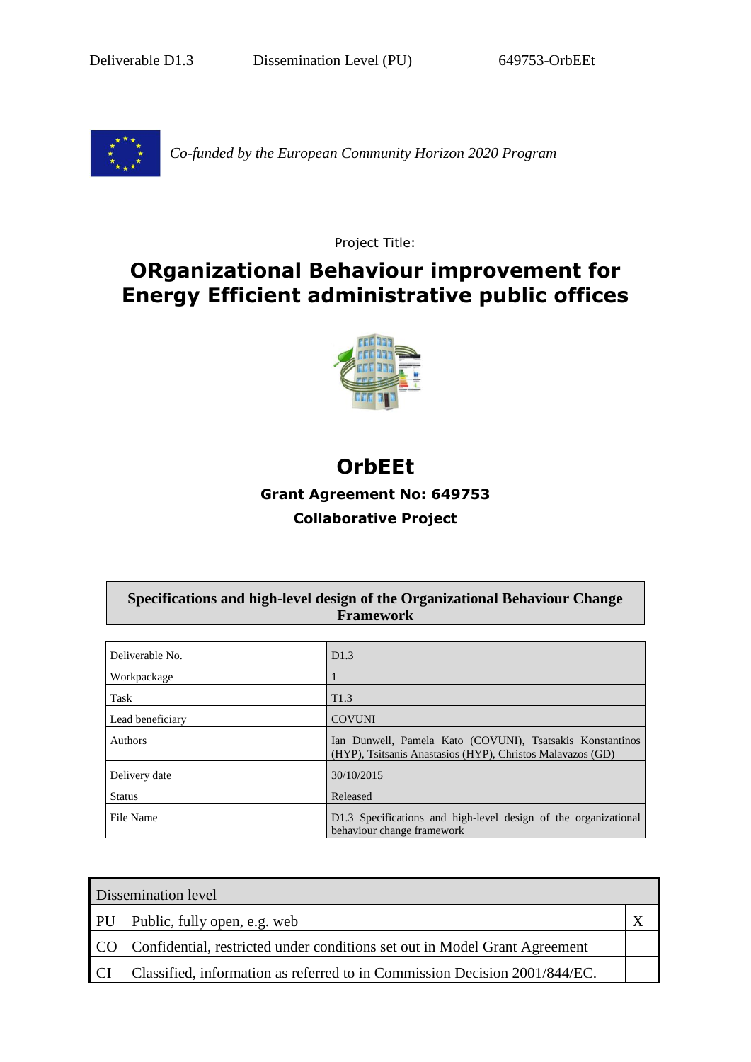Deliverable D1.3 Dissemination Level (PU) 649753-OrbEEt



*Co-funded by the European Community Horizon 2020 Program* 

Project Title:

## **ORganizational Behaviour improvement for Energy Efficient administrative public offices**



# **OrbEEt**

## **Grant Agreement No: 649753**

### **Collaborative Project**

#### **Specifications and high-level design of the Organizational Behaviour Change Framework**

| Deliverable No.  | D1.3                                                                                                                    |
|------------------|-------------------------------------------------------------------------------------------------------------------------|
| Workpackage      |                                                                                                                         |
| Task             | T <sub>1.3</sub>                                                                                                        |
| Lead beneficiary | <b>COVUNI</b>                                                                                                           |
| <b>Authors</b>   | Ian Dunwell, Pamela Kato (COVUNI), Tsatsakis Konstantinos<br>(HYP), Tsitsanis Anastasios (HYP), Christos Malavazos (GD) |
| Delivery date    | 30/10/2015                                                                                                              |
| <b>Status</b>    | Released                                                                                                                |
| File Name        | D1.3 Specifications and high-level design of the organizational<br>behaviour change framework                           |

| Dissemination level |                                                                                 |  |
|---------------------|---------------------------------------------------------------------------------|--|
|                     | PU Public, fully open, e.g. web                                                 |  |
|                     | CO   Confidential, restricted under conditions set out in Model Grant Agreement |  |
| <b>CI</b>           | Classified, information as referred to in Commission Decision 2001/844/EC.      |  |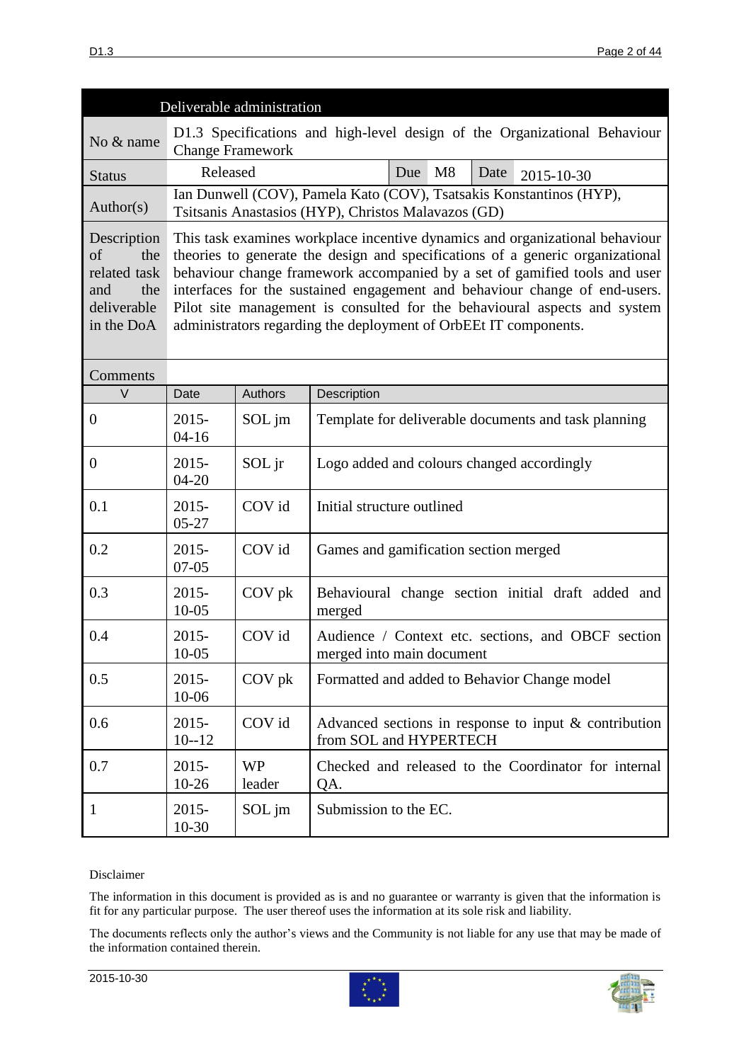|                                                                                     |                                                                                                                                                                                                                                                                                                                                                                                                                                                                             | Deliverable administration |                                                                                                                            |  |
|-------------------------------------------------------------------------------------|-----------------------------------------------------------------------------------------------------------------------------------------------------------------------------------------------------------------------------------------------------------------------------------------------------------------------------------------------------------------------------------------------------------------------------------------------------------------------------|----------------------------|----------------------------------------------------------------------------------------------------------------------------|--|
| No & name                                                                           | <b>Change Framework</b>                                                                                                                                                                                                                                                                                                                                                                                                                                                     |                            | D1.3 Specifications and high-level design of the Organizational Behaviour                                                  |  |
| <b>Status</b>                                                                       | Released                                                                                                                                                                                                                                                                                                                                                                                                                                                                    |                            | M8<br>Due<br>Date<br>2015-10-30                                                                                            |  |
| Author(s)                                                                           |                                                                                                                                                                                                                                                                                                                                                                                                                                                                             |                            | Ian Dunwell (COV), Pamela Kato (COV), Tsatsakis Konstantinos (HYP),<br>Tsitsanis Anastasios (HYP), Christos Malavazos (GD) |  |
| Description<br>of<br>the<br>related task<br>and<br>the<br>deliverable<br>in the DoA | This task examines workplace incentive dynamics and organizational behaviour<br>theories to generate the design and specifications of a generic organizational<br>behaviour change framework accompanied by a set of gamified tools and user<br>interfaces for the sustained engagement and behaviour change of end-users.<br>Pilot site management is consulted for the behavioural aspects and system<br>administrators regarding the deployment of OrbEEt IT components. |                            |                                                                                                                            |  |
| Comments                                                                            |                                                                                                                                                                                                                                                                                                                                                                                                                                                                             |                            |                                                                                                                            |  |
| $\vee$                                                                              | Date                                                                                                                                                                                                                                                                                                                                                                                                                                                                        | <b>Authors</b>             | Description                                                                                                                |  |
| $\boldsymbol{0}$                                                                    | $2015 -$<br>$04 - 16$                                                                                                                                                                                                                                                                                                                                                                                                                                                       | SOL jm                     | Template for deliverable documents and task planning                                                                       |  |
| $\boldsymbol{0}$                                                                    | $2015 -$<br>$04 - 20$                                                                                                                                                                                                                                                                                                                                                                                                                                                       | SOL jr                     | Logo added and colours changed accordingly                                                                                 |  |
| 0.1                                                                                 | $2015 -$<br>$05 - 27$                                                                                                                                                                                                                                                                                                                                                                                                                                                       | COV id                     | Initial structure outlined                                                                                                 |  |
| 0.2                                                                                 | $2015 -$<br>$07 - 05$                                                                                                                                                                                                                                                                                                                                                                                                                                                       | COV id                     | Games and gamification section merged                                                                                      |  |
| 0.3                                                                                 | $2015 -$<br>$10 - 05$                                                                                                                                                                                                                                                                                                                                                                                                                                                       | COV pk                     | Behavioural change section initial draft added and<br>merged                                                               |  |
| 0.4                                                                                 | $2015 -$<br>$10 - 05$                                                                                                                                                                                                                                                                                                                                                                                                                                                       | COV id                     | Audience / Context etc. sections, and OBCF section<br>merged into main document                                            |  |
| 0.5                                                                                 | $2015 -$<br>10-06                                                                                                                                                                                                                                                                                                                                                                                                                                                           | $COV$ pk                   | Formatted and added to Behavior Change model                                                                               |  |
| 0.6                                                                                 | $2015 -$<br>$10 - 12$                                                                                                                                                                                                                                                                                                                                                                                                                                                       | COV id                     | Advanced sections in response to input $\&$ contribution<br>from SOL and HYPERTECH                                         |  |
| 0.7                                                                                 | $2015 -$<br>$10 - 26$                                                                                                                                                                                                                                                                                                                                                                                                                                                       | <b>WP</b><br>leader        | Checked and released to the Coordinator for internal<br>QA.                                                                |  |
| $\mathbf{1}$                                                                        | $2015 -$<br>$10-30$                                                                                                                                                                                                                                                                                                                                                                                                                                                         | SOL jm                     | Submission to the EC.                                                                                                      |  |

#### Disclaimer

The information in this document is provided as is and no guarantee or warranty is given that the information is fit for any particular purpose. The user thereof uses the information at its sole risk and liability.

The documents reflects only the author's views and the Community is not liable for any use that may be made of the information contained therein.



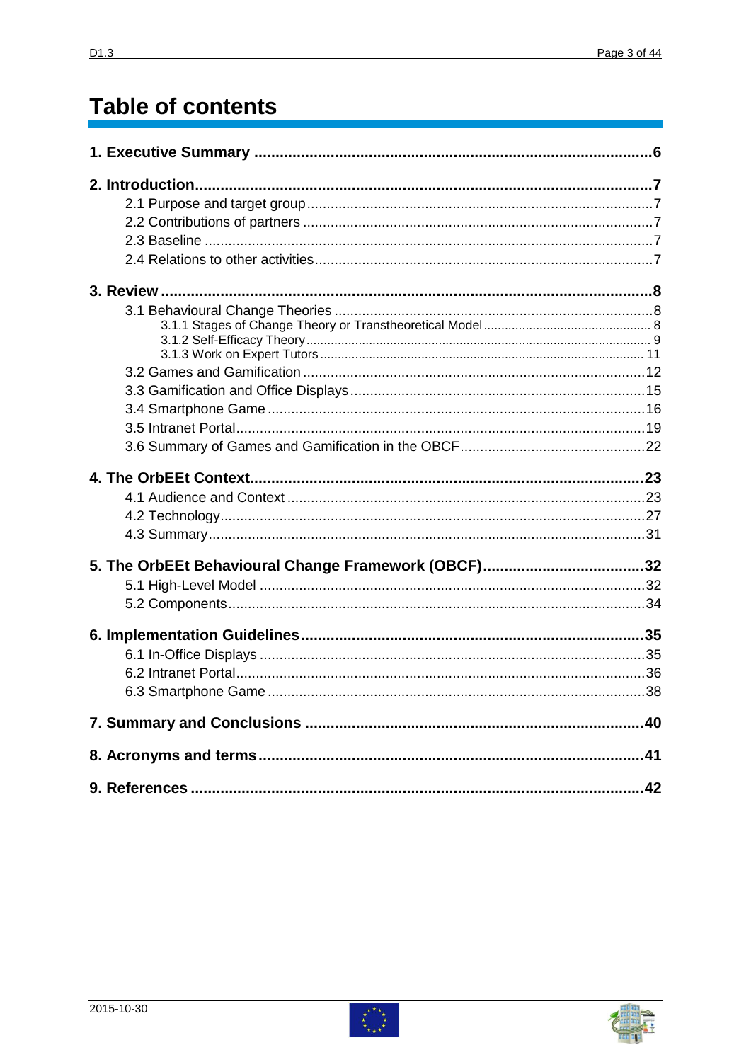# **Table of contents**



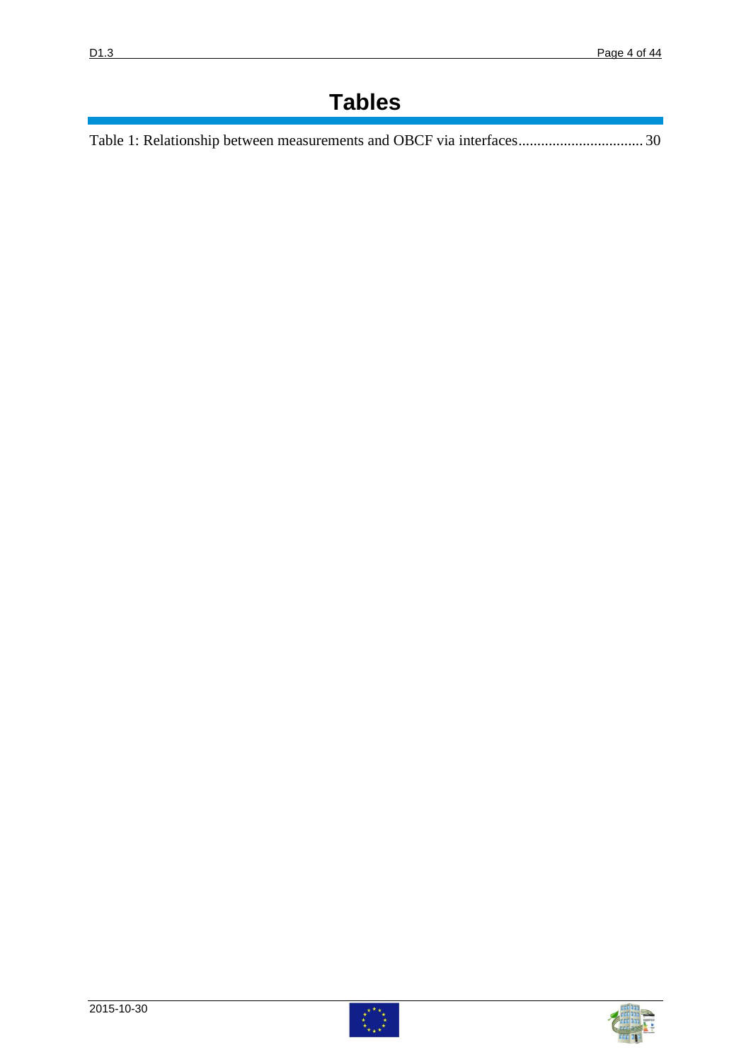# **Tables**

| Table 1: Relationship between measurements and OBCF via interfaces 30 |  |
|-----------------------------------------------------------------------|--|
|-----------------------------------------------------------------------|--|



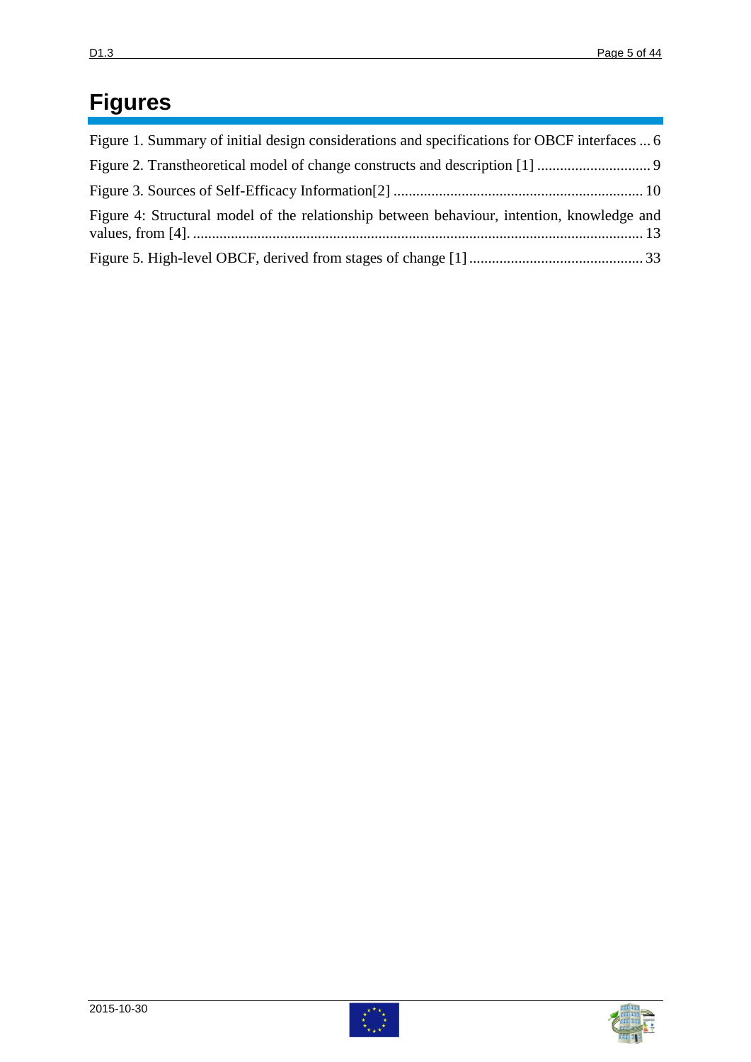# **Figures**

| Figure 1. Summary of initial design considerations and specifications for OBCF interfaces  6 |  |
|----------------------------------------------------------------------------------------------|--|
|                                                                                              |  |
|                                                                                              |  |
| Figure 4: Structural model of the relationship between behaviour, intention, knowledge and   |  |
|                                                                                              |  |



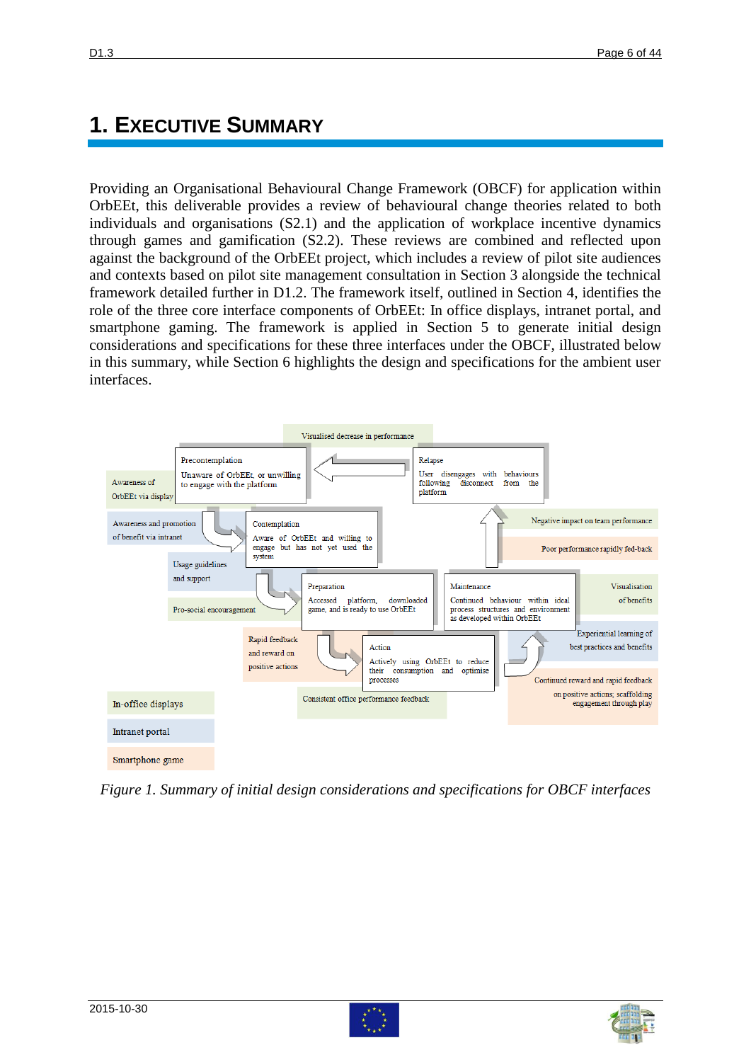# **1. EXECUTIVE SUMMARY**

Providing an Organisational Behavioural Change Framework (OBCF) for application within OrbEEt, this deliverable provides a review of behavioural change theories related to both individuals and organisations (S2.1) and the application of workplace incentive dynamics through games and gamification (S2.2). These reviews are combined and reflected upon against the background of the OrbEEt project, which includes a review of pilot site audiences and contexts based on pilot site management consultation in Section 3 alongside the technical framework detailed further in D1.2. The framework itself, outlined in Section 4, identifies the role of the three core interface components of OrbEEt: In office displays, intranet portal, and smartphone gaming. The framework is applied in Section 5 to generate initial design considerations and specifications for these three interfaces under the OBCF, illustrated below in this summary, while Section 6 highlights the design and specifications for the ambient user interfaces.



<span id="page-5-0"></span>*Figure 1. Summary of initial design considerations and specifications for OBCF interfaces*



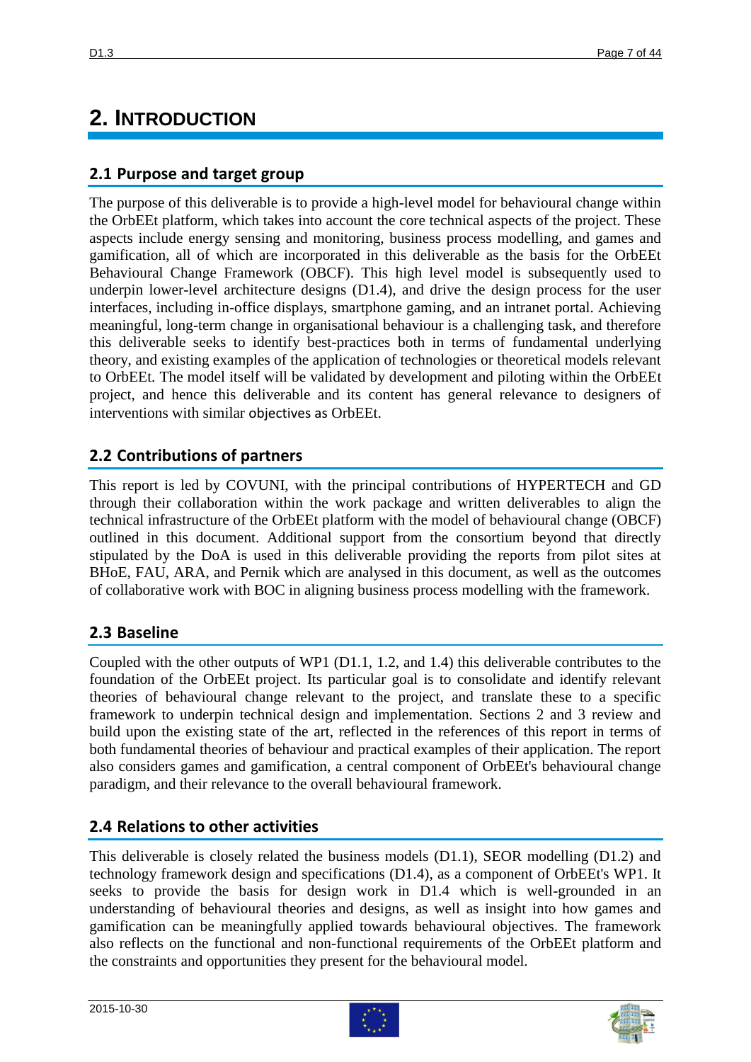# **2. INTRODUCTION**

### **2.1 Purpose and target group**

The purpose of this deliverable is to provide a high-level model for behavioural change within the OrbEEt platform, which takes into account the core technical aspects of the project. These aspects include energy sensing and monitoring, business process modelling, and games and gamification, all of which are incorporated in this deliverable as the basis for the OrbEEt Behavioural Change Framework (OBCF). This high level model is subsequently used to underpin lower-level architecture designs (D1.4), and drive the design process for the user interfaces, including in-office displays, smartphone gaming, and an intranet portal. Achieving meaningful, long-term change in organisational behaviour is a challenging task, and therefore this deliverable seeks to identify best-practices both in terms of fundamental underlying theory, and existing examples of the application of technologies or theoretical models relevant to OrbEEt. The model itself will be validated by development and piloting within the OrbEEt project, and hence this deliverable and its content has general relevance to designers of interventions with similar objectives as OrbEEt.

## **2.2 Contributions of partners**

This report is led by COVUNI, with the principal contributions of HYPERTECH and GD through their collaboration within the work package and written deliverables to align the technical infrastructure of the OrbEEt platform with the model of behavioural change (OBCF) outlined in this document. Additional support from the consortium beyond that directly stipulated by the DoA is used in this deliverable providing the reports from pilot sites at BHoE, FAU, ARA, and Pernik which are analysed in this document, as well as the outcomes of collaborative work with BOC in aligning business process modelling with the framework.

## **2.3 Baseline**

Coupled with the other outputs of WP1 (D1.1, 1.2, and 1.4) this deliverable contributes to the foundation of the OrbEEt project. Its particular goal is to consolidate and identify relevant theories of behavioural change relevant to the project, and translate these to a specific framework to underpin technical design and implementation. Sections 2 and 3 review and build upon the existing state of the art, reflected in the references of this report in terms of both fundamental theories of behaviour and practical examples of their application. The report also considers games and gamification, a central component of OrbEEt's behavioural change paradigm, and their relevance to the overall behavioural framework.

## **2.4 Relations to other activities**

This deliverable is closely related the business models (D1.1), SEOR modelling (D1.2) and technology framework design and specifications (D1.4), as a component of OrbEEt's WP1. It seeks to provide the basis for design work in D1.4 which is well-grounded in an understanding of behavioural theories and designs, as well as insight into how games and gamification can be meaningfully applied towards behavioural objectives. The framework also reflects on the functional and non-functional requirements of the OrbEEt platform and the constraints and opportunities they present for the behavioural model.



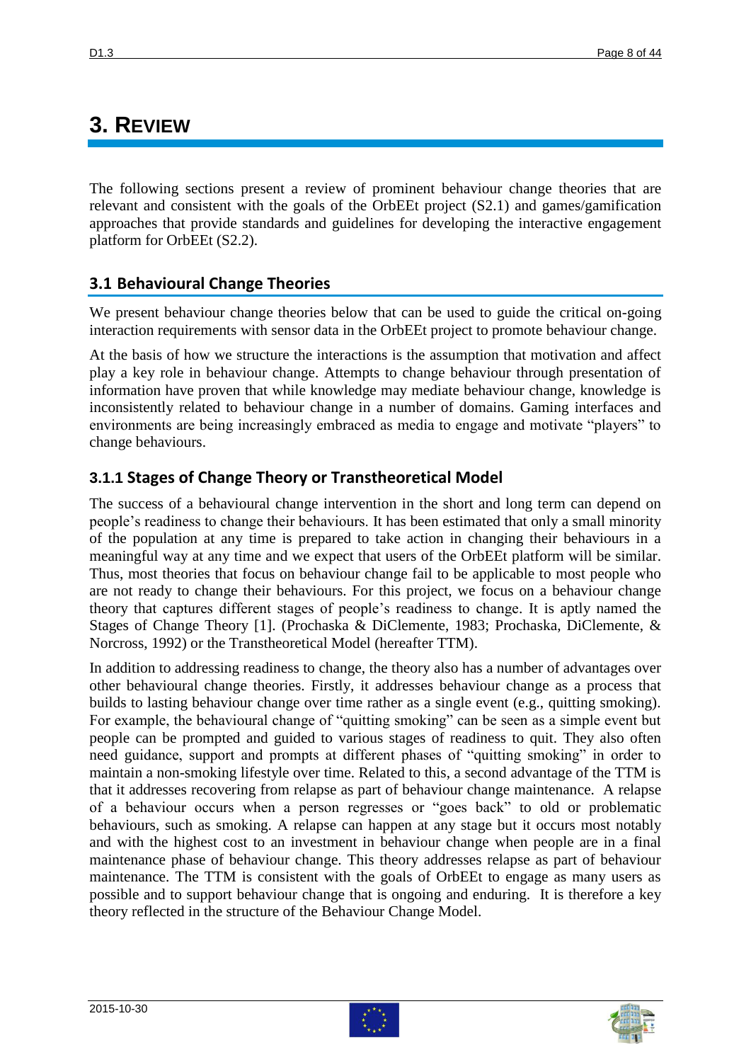## **3. REVIEW**

The following sections present a review of prominent behaviour change theories that are relevant and consistent with the goals of the OrbEEt project (S2.1) and games/gamification approaches that provide standards and guidelines for developing the interactive engagement platform for OrbEEt (S2.2).

### **3.1 Behavioural Change Theories**

We present behaviour change theories below that can be used to guide the critical on-going interaction requirements with sensor data in the OrbEEt project to promote behaviour change.

At the basis of how we structure the interactions is the assumption that motivation and affect play a key role in behaviour change. Attempts to change behaviour through presentation of information have proven that while knowledge may mediate behaviour change, knowledge is inconsistently related to behaviour change in a number of domains. Gaming interfaces and environments are being increasingly embraced as media to engage and motivate "players" to change behaviours.

## **3.1.1 Stages of Change Theory or Transtheoretical Model**

The success of a behavioural change intervention in the short and long term can depend on people's readiness to change their behaviours. It has been estimated that only a small minority of the population at any time is prepared to take action in changing their behaviours in a meaningful way at any time and we expect that users of the OrbEEt platform will be similar. Thus, most theories that focus on behaviour change fail to be applicable to most people who are not ready to change their behaviours. For this project, we focus on a behaviour change theory that captures different stages of people's readiness to change. It is aptly named the Stages of Change Theory [\[1\]](#page-41-0). (Prochaska & DiClemente, 1983; Prochaska, DiClemente, & Norcross, 1992) or the Transtheoretical Model (hereafter TTM).

In addition to addressing readiness to change, the theory also has a number of advantages over other behavioural change theories. Firstly, it addresses behaviour change as a process that builds to lasting behaviour change over time rather as a single event (e.g., quitting smoking). For example, the behavioural change of "quitting smoking" can be seen as a simple event but people can be prompted and guided to various stages of readiness to quit. They also often need guidance, support and prompts at different phases of "quitting smoking" in order to maintain a non-smoking lifestyle over time. Related to this, a second advantage of the TTM is that it addresses recovering from relapse as part of behaviour change maintenance. A relapse of a behaviour occurs when a person regresses or "goes back" to old or problematic behaviours, such as smoking. A relapse can happen at any stage but it occurs most notably and with the highest cost to an investment in behaviour change when people are in a final maintenance phase of behaviour change. This theory addresses relapse as part of behaviour maintenance. The TTM is consistent with the goals of OrbEEt to engage as many users as possible and to support behaviour change that is ongoing and enduring. It is therefore a key theory reflected in the structure of the Behaviour Change Model.



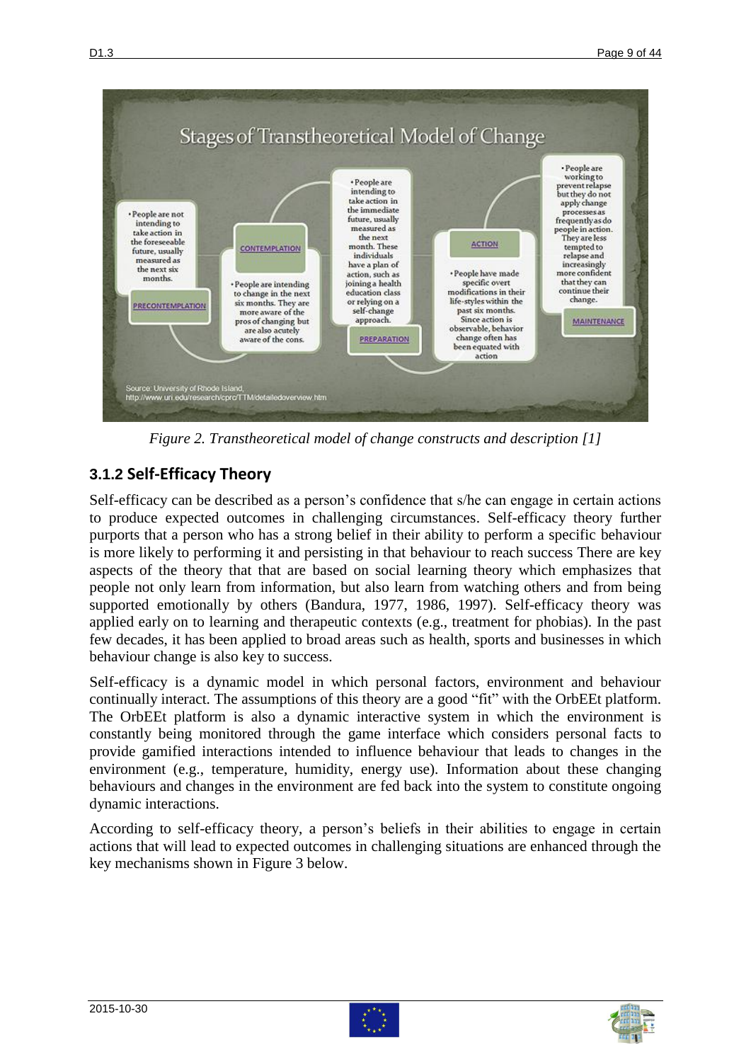

*Figure 2. Transtheoretical model of change constructs and description [1]*

## <span id="page-8-0"></span>**3.1.2 Self-Efficacy Theory**

Self-efficacy can be described as a person's confidence that s/he can engage in certain actions to produce expected outcomes in challenging circumstances. Self-efficacy theory further purports that a person who has a strong belief in their ability to perform a specific behaviour is more likely to performing it and persisting in that behaviour to reach success There are key aspects of the theory that that are based on social learning theory which emphasizes that people not only learn from information, but also learn from watching others and from being supported emotionally by others (Bandura, 1977, 1986, 1997). Self-efficacy theory was applied early on to learning and therapeutic contexts (e.g., treatment for phobias). In the past few decades, it has been applied to broad areas such as health, sports and businesses in which behaviour change is also key to success.

Self-efficacy is a dynamic model in which personal factors, environment and behaviour continually interact. The assumptions of this theory are a good "fit" with the OrbEEt platform. The OrbEEt platform is also a dynamic interactive system in which the environment is constantly being monitored through the game interface which considers personal facts to provide gamified interactions intended to influence behaviour that leads to changes in the environment (e.g., temperature, humidity, energy use). Information about these changing behaviours and changes in the environment are fed back into the system to constitute ongoing dynamic interactions.

According to self-efficacy theory, a person's beliefs in their abilities to engage in certain actions that will lead to expected outcomes in challenging situations are enhanced through the key mechanisms shown in Figure 3 below.





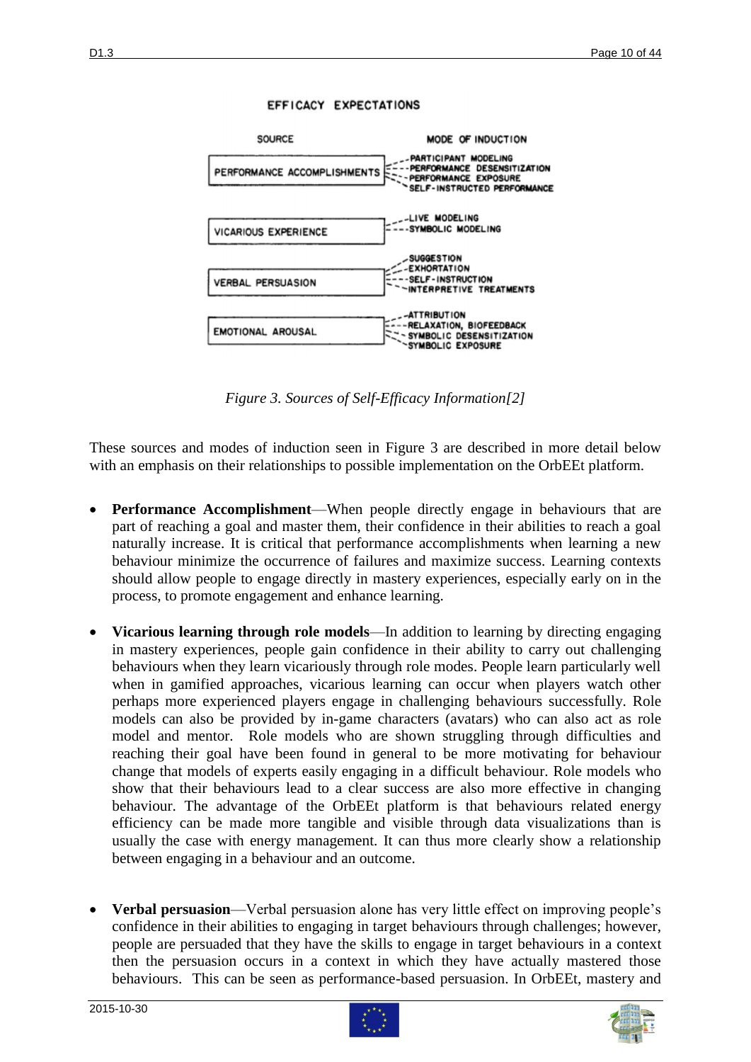

#### EFFICACY EXPECTATIONS

*Figure 3. Sources of Self-Efficacy Information[\[2\]](#page-41-1)*

SYMBOLIC EXPOSURE

<span id="page-9-0"></span>These sources and modes of induction seen in Figure 3 are described in more detail below with an emphasis on their relationships to possible implementation on the OrbEEt platform.

- **Performance Accomplishment**—When people directly engage in behaviours that are part of reaching a goal and master them, their confidence in their abilities to reach a goal naturally increase. It is critical that performance accomplishments when learning a new behaviour minimize the occurrence of failures and maximize success. Learning contexts should allow people to engage directly in mastery experiences, especially early on in the process, to promote engagement and enhance learning.
- **Vicarious learning through role models**—In addition to learning by directing engaging in mastery experiences, people gain confidence in their ability to carry out challenging behaviours when they learn vicariously through role modes. People learn particularly well when in gamified approaches, vicarious learning can occur when players watch other perhaps more experienced players engage in challenging behaviours successfully. Role models can also be provided by in-game characters (avatars) who can also act as role model and mentor. Role models who are shown struggling through difficulties and reaching their goal have been found in general to be more motivating for behaviour change that models of experts easily engaging in a difficult behaviour. Role models who show that their behaviours lead to a clear success are also more effective in changing behaviour. The advantage of the OrbEEt platform is that behaviours related energy efficiency can be made more tangible and visible through data visualizations than is usually the case with energy management. It can thus more clearly show a relationship between engaging in a behaviour and an outcome.
- **Verbal persuasion**—Verbal persuasion alone has very little effect on improving people's confidence in their abilities to engaging in target behaviours through challenges; however, people are persuaded that they have the skills to engage in target behaviours in a context then the persuasion occurs in a context in which they have actually mastered those behaviours. This can be seen as performance-based persuasion. In OrbEEt, mastery and



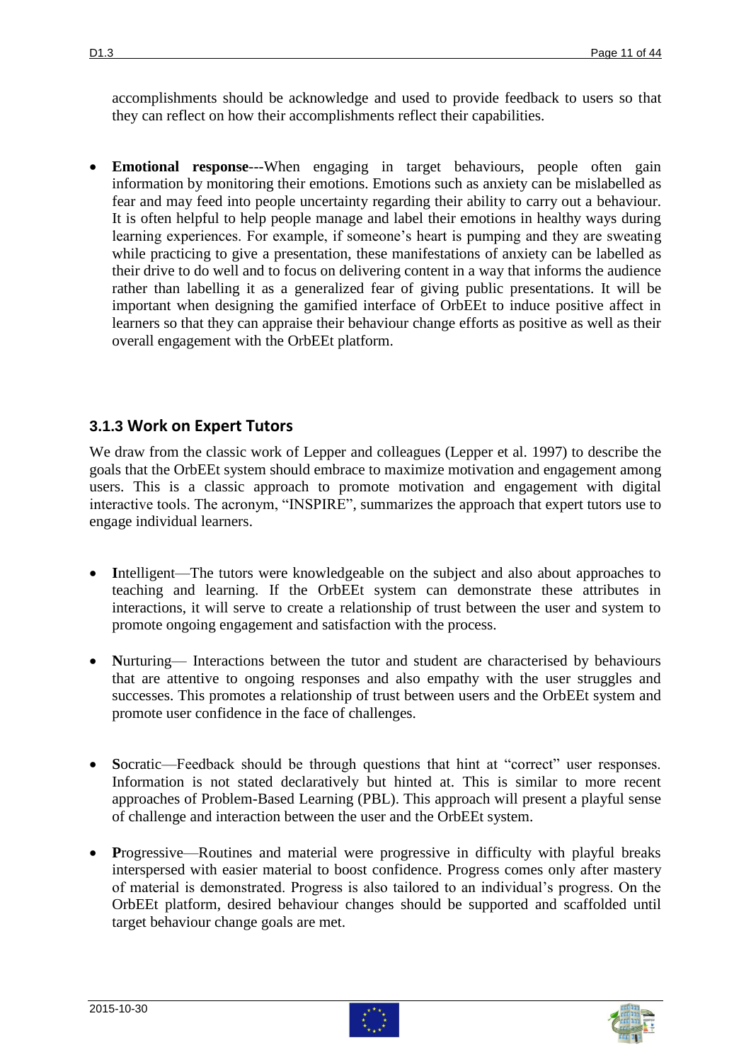accomplishments should be acknowledge and used to provide feedback to users so that they can reflect on how their accomplishments reflect their capabilities.

 **Emotional response**---When engaging in target behaviours, people often gain information by monitoring their emotions. Emotions such as anxiety can be mislabelled as fear and may feed into people uncertainty regarding their ability to carry out a behaviour. It is often helpful to help people manage and label their emotions in healthy ways during learning experiences. For example, if someone's heart is pumping and they are sweating while practicing to give a presentation, these manifestations of anxiety can be labelled as their drive to do well and to focus on delivering content in a way that informs the audience rather than labelling it as a generalized fear of giving public presentations. It will be important when designing the gamified interface of OrbEEt to induce positive affect in learners so that they can appraise their behaviour change efforts as positive as well as their overall engagement with the OrbEEt platform.

### **3.1.3 Work on Expert Tutors**

We draw from the classic work of Lepper and colleagues (Lepper et al. 1997) to describe the goals that the OrbEEt system should embrace to maximize motivation and engagement among users. This is a classic approach to promote motivation and engagement with digital interactive tools. The acronym, "INSPIRE", summarizes the approach that expert tutors use to engage individual learners.

- Intelligent—The tutors were knowledgeable on the subject and also about approaches to teaching and learning. If the OrbEEt system can demonstrate these attributes in interactions, it will serve to create a relationship of trust between the user and system to promote ongoing engagement and satisfaction with the process.
- Nurturing— Interactions between the tutor and student are characterised by behaviours that are attentive to ongoing responses and also empathy with the user struggles and successes. This promotes a relationship of trust between users and the OrbEEt system and promote user confidence in the face of challenges.
- **S**ocratic—Feedback should be through questions that hint at "correct" user responses. Information is not stated declaratively but hinted at. This is similar to more recent approaches of Problem-Based Learning (PBL). This approach will present a playful sense of challenge and interaction between the user and the OrbEEt system.
- **P**rogressive—Routines and material were progressive in difficulty with playful breaks interspersed with easier material to boost confidence. Progress comes only after mastery of material is demonstrated. Progress is also tailored to an individual's progress. On the OrbEEt platform, desired behaviour changes should be supported and scaffolded until target behaviour change goals are met.



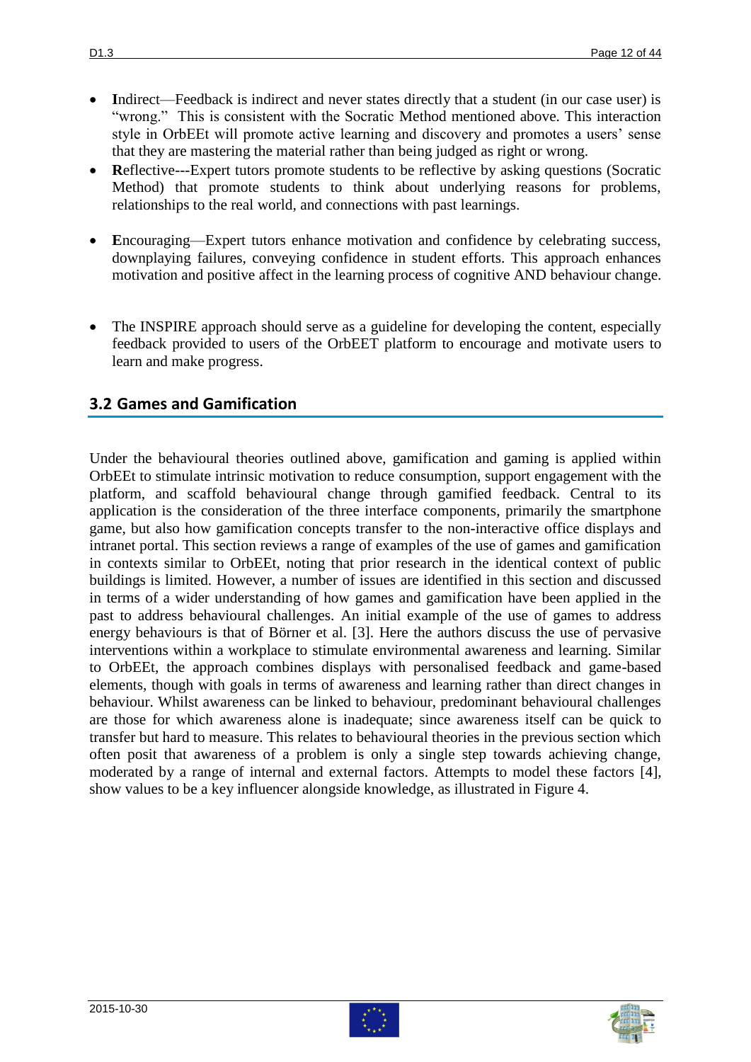- Indirect—Feedback is indirect and never states directly that a student (in our case user) is "wrong." This is consistent with the Socratic Method mentioned above. This interaction style in OrbEEt will promote active learning and discovery and promotes a users' sense that they are mastering the material rather than being judged as right or wrong.
- Reflective---Expert tutors promote students to be reflective by asking questions (Socratic Method) that promote students to think about underlying reasons for problems, relationships to the real world, and connections with past learnings.
- Encouraging—Expert tutors enhance motivation and confidence by celebrating success, downplaying failures, conveying confidence in student efforts. This approach enhances motivation and positive affect in the learning process of cognitive AND behaviour change.
- The INSPIRE approach should serve as a guideline for developing the content, especially feedback provided to users of the OrbEET platform to encourage and motivate users to learn and make progress.

### **3.2 Games and Gamification**

Under the behavioural theories outlined above, gamification and gaming is applied within OrbEEt to stimulate intrinsic motivation to reduce consumption, support engagement with the platform, and scaffold behavioural change through gamified feedback. Central to its application is the consideration of the three interface components, primarily the smartphone game, but also how gamification concepts transfer to the non-interactive office displays and intranet portal. This section reviews a range of examples of the use of games and gamification in contexts similar to OrbEEt, noting that prior research in the identical context of public buildings is limited. However, a number of issues are identified in this section and discussed in terms of a wider understanding of how games and gamification have been applied in the past to address behavioural challenges. An initial example of the use of games to address energy behaviours is that of Börner et al. [\[3\]](#page-41-2). Here the authors discuss the use of pervasive interventions within a workplace to stimulate environmental awareness and learning. Similar to OrbEEt, the approach combines displays with personalised feedback and game-based elements, though with goals in terms of awareness and learning rather than direct changes in behaviour. Whilst awareness can be linked to behaviour, predominant behavioural challenges are those for which awareness alone is inadequate; since awareness itself can be quick to transfer but hard to measure. This relates to behavioural theories in the previous section which often posit that awareness of a problem is only a single step towards achieving change, moderated by a range of internal and external factors. Attempts to model these factors [\[4\]](#page-41-3), show values to be a key influencer alongside knowledge, as illustrated in Figure 4.



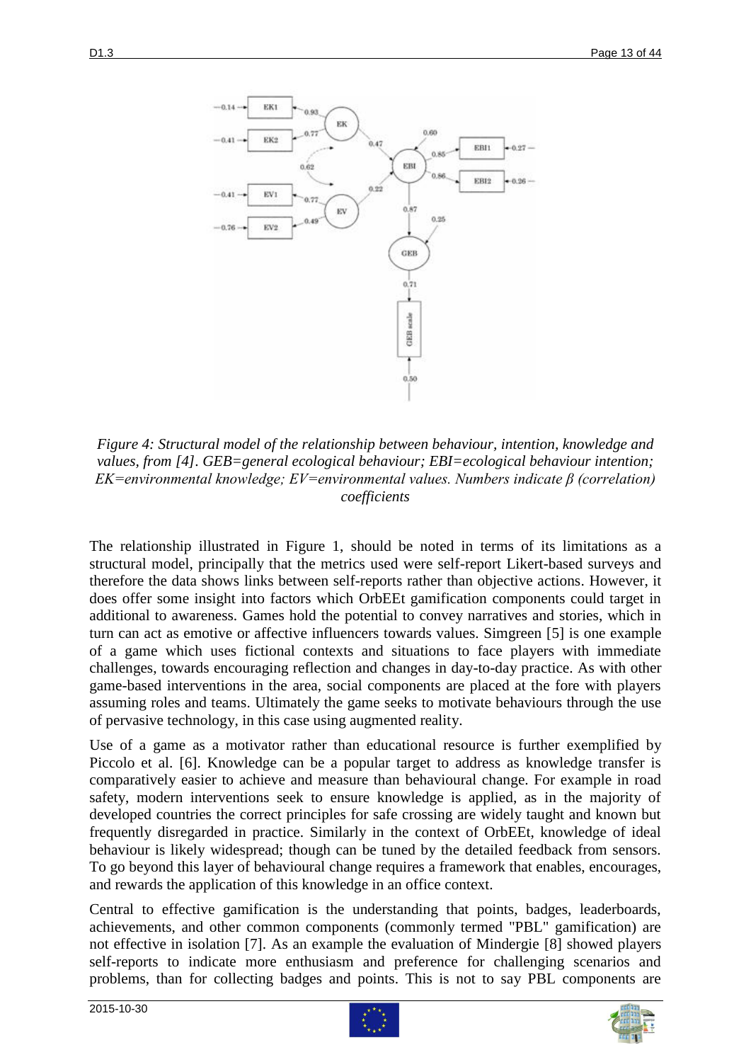

<span id="page-12-0"></span>*Figure 4: Structural model of the relationship between behaviour, intention, knowledge and values, from [\[4\]](#page-41-3). GEB=general ecological behaviour; EBI=ecological behaviour intention; EK=environmental knowledge; EV=environmental values. Numbers indicate β (correlation) coefficients*

The relationship illustrated in Figure 1, should be noted in terms of its limitations as a structural model, principally that the metrics used were self-report Likert-based surveys and therefore the data shows links between self-reports rather than objective actions. However, it does offer some insight into factors which OrbEEt gamification components could target in additional to awareness. Games hold the potential to convey narratives and stories, which in turn can act as emotive or affective influencers towards values. Simgreen [\[5\]](#page-41-4) is one example of a game which uses fictional contexts and situations to face players with immediate challenges, towards encouraging reflection and changes in day-to-day practice. As with other game-based interventions in the area, social components are placed at the fore with players assuming roles and teams. Ultimately the game seeks to motivate behaviours through the use of pervasive technology, in this case using augmented reality.

Use of a game as a motivator rather than educational resource is further exemplified by Piccolo et al. [\[6\]](#page-41-5). Knowledge can be a popular target to address as knowledge transfer is comparatively easier to achieve and measure than behavioural change. For example in road safety, modern interventions seek to ensure knowledge is applied, as in the majority of developed countries the correct principles for safe crossing are widely taught and known but frequently disregarded in practice. Similarly in the context of OrbEEt, knowledge of ideal behaviour is likely widespread; though can be tuned by the detailed feedback from sensors. To go beyond this layer of behavioural change requires a framework that enables, encourages, and rewards the application of this knowledge in an office context.

Central to effective gamification is the understanding that points, badges, leaderboards, achievements, and other common components (commonly termed "PBL" gamification) are not effective in isolation [\[7\]](#page-41-6). As an example the evaluation of Mindergie [\[8\]](#page-41-7) showed players self-reports to indicate more enthusiasm and preference for challenging scenarios and problems, than for collecting badges and points. This is not to say PBL components are



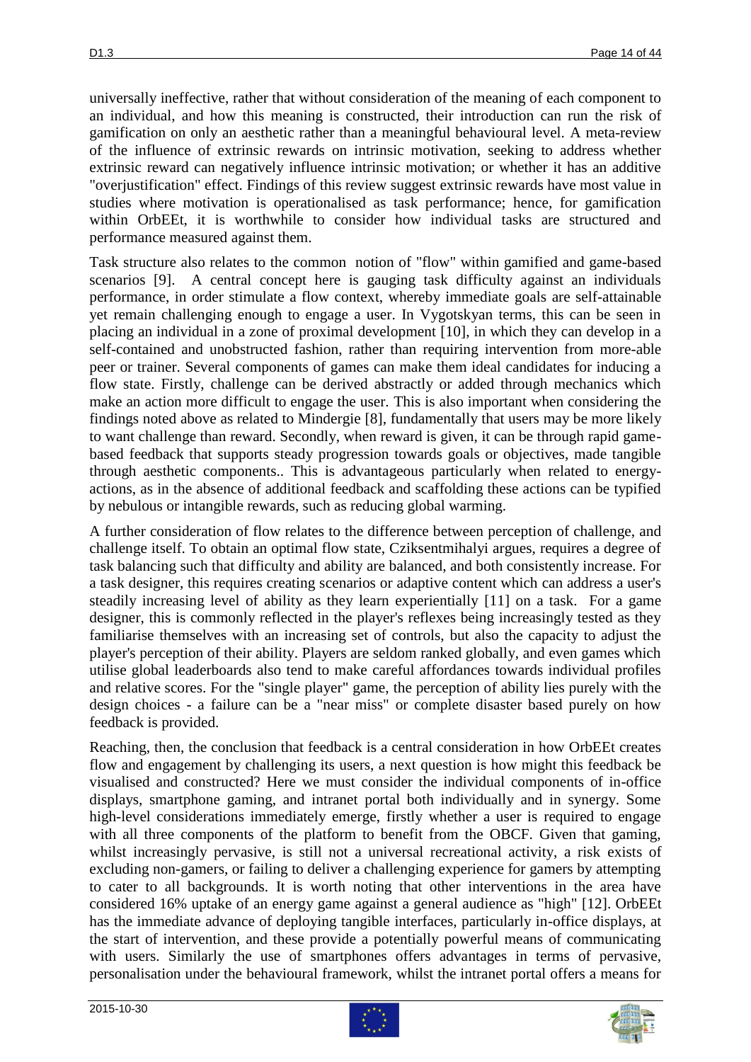universally ineffective, rather that without consideration of the meaning of each component to an individual, and how this meaning is constructed, their introduction can run the risk of gamification on only an aesthetic rather than a meaningful behavioural level. A meta-review of the influence of extrinsic rewards on intrinsic motivation, seeking to address whether extrinsic reward can negatively influence intrinsic motivation; or whether it has an additive "overjustification" effect. Findings of this review suggest extrinsic rewards have most value in studies where motivation is operationalised as task performance; hence, for gamification within OrbEEt, it is worthwhile to consider how individual tasks are structured and performance measured against them.

Task structure also relates to the common notion of "flow" within gamified and game-based scenarios [\[9\]](#page-41-8). A central concept here is gauging task difficulty against an individuals performance, in order stimulate a flow context, whereby immediate goals are self-attainable yet remain challenging enough to engage a user. In Vygotskyan terms, this can be seen in placing an individual in a zone of proximal development [\[10\]](#page-41-9), in which they can develop in a self-contained and unobstructed fashion, rather than requiring intervention from more-able peer or trainer. Several components of games can make them ideal candidates for inducing a flow state. Firstly, challenge can be derived abstractly or added through mechanics which make an action more difficult to engage the user. This is also important when considering the findings noted above as related to Mindergie [\[8\]](#page-41-7), fundamentally that users may be more likely to want challenge than reward. Secondly, when reward is given, it can be through rapid gamebased feedback that supports steady progression towards goals or objectives, made tangible through aesthetic components.. This is advantageous particularly when related to energyactions, as in the absence of additional feedback and scaffolding these actions can be typified by nebulous or intangible rewards, such as reducing global warming.

A further consideration of flow relates to the difference between perception of challenge, and challenge itself. To obtain an optimal flow state, Cziksentmihalyi argues, requires a degree of task balancing such that difficulty and ability are balanced, and both consistently increase. For a task designer, this requires creating scenarios or adaptive content which can address a user's steadily increasing level of ability as they learn experientially [\[11\]](#page-41-10) on a task. For a game designer, this is commonly reflected in the player's reflexes being increasingly tested as they familiarise themselves with an increasing set of controls, but also the capacity to adjust the player's perception of their ability. Players are seldom ranked globally, and even games which utilise global leaderboards also tend to make careful affordances towards individual profiles and relative scores. For the "single player" game, the perception of ability lies purely with the design choices - a failure can be a "near miss" or complete disaster based purely on how feedback is provided.

Reaching, then, the conclusion that feedback is a central consideration in how OrbEEt creates flow and engagement by challenging its users, a next question is how might this feedback be visualised and constructed? Here we must consider the individual components of in-office displays, smartphone gaming, and intranet portal both individually and in synergy. Some high-level considerations immediately emerge, firstly whether a user is required to engage with all three components of the platform to benefit from the OBCF. Given that gaming, whilst increasingly pervasive, is still not a universal recreational activity, a risk exists of excluding non-gamers, or failing to deliver a challenging experience for gamers by attempting to cater to all backgrounds. It is worth noting that other interventions in the area have considered 16% uptake of an energy game against a general audience as "high" [\[12\]](#page-41-11). OrbEEt has the immediate advance of deploying tangible interfaces, particularly in-office displays, at the start of intervention, and these provide a potentially powerful means of communicating with users. Similarly the use of smartphones offers advantages in terms of pervasive, personalisation under the behavioural framework, whilst the intranet portal offers a means for



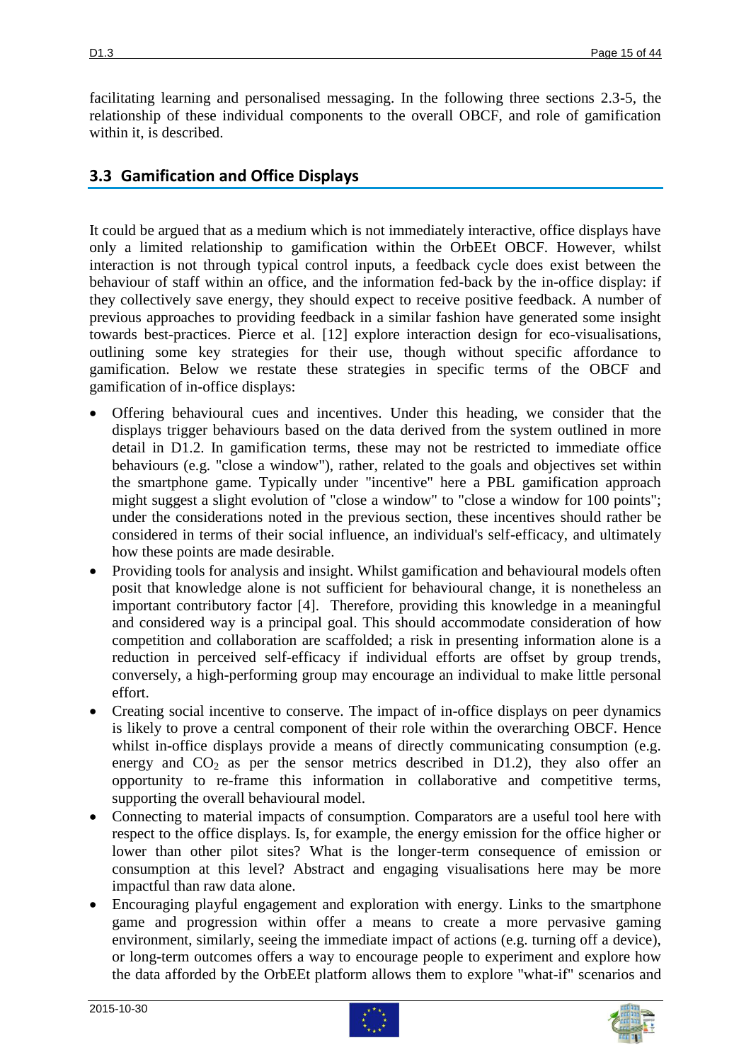facilitating learning and personalised messaging. In the following three sections 2.3-5, the relationship of these individual components to the overall OBCF, and role of gamification within it, is described.

### **3.3 Gamification and Office Displays**

It could be argued that as a medium which is not immediately interactive, office displays have only a limited relationship to gamification within the OrbEEt OBCF. However, whilst interaction is not through typical control inputs, a feedback cycle does exist between the behaviour of staff within an office, and the information fed-back by the in-office display: if they collectively save energy, they should expect to receive positive feedback. A number of previous approaches to providing feedback in a similar fashion have generated some insight towards best-practices. Pierce et al. [\[12\]](#page-41-11) explore interaction design for eco-visualisations, outlining some key strategies for their use, though without specific affordance to gamification. Below we restate these strategies in specific terms of the OBCF and gamification of in-office displays:

- Offering behavioural cues and incentives. Under this heading, we consider that the displays trigger behaviours based on the data derived from the system outlined in more detail in D1.2. In gamification terms, these may not be restricted to immediate office behaviours (e.g. "close a window"), rather, related to the goals and objectives set within the smartphone game. Typically under "incentive" here a PBL gamification approach might suggest a slight evolution of "close a window" to "close a window for 100 points"; under the considerations noted in the previous section, these incentives should rather be considered in terms of their social influence, an individual's self-efficacy, and ultimately how these points are made desirable.
- Providing tools for analysis and insight. Whilst gamification and behavioural models often posit that knowledge alone is not sufficient for behavioural change, it is nonetheless an important contributory factor [\[4\]](#page-41-3). Therefore, providing this knowledge in a meaningful and considered way is a principal goal. This should accommodate consideration of how competition and collaboration are scaffolded; a risk in presenting information alone is a reduction in perceived self-efficacy if individual efforts are offset by group trends, conversely, a high-performing group may encourage an individual to make little personal effort.
- Creating social incentive to conserve. The impact of in-office displays on peer dynamics is likely to prove a central component of their role within the overarching OBCF. Hence whilst in-office displays provide a means of directly communicating consumption (e.g. energy and  $CO<sub>2</sub>$  as per the sensor metrics described in D1.2), they also offer an opportunity to re-frame this information in collaborative and competitive terms, supporting the overall behavioural model.
- Connecting to material impacts of consumption. Comparators are a useful tool here with respect to the office displays. Is, for example, the energy emission for the office higher or lower than other pilot sites? What is the longer-term consequence of emission or consumption at this level? Abstract and engaging visualisations here may be more impactful than raw data alone.
- Encouraging playful engagement and exploration with energy. Links to the smartphone game and progression within offer a means to create a more pervasive gaming environment, similarly, seeing the immediate impact of actions (e.g. turning off a device), or long-term outcomes offers a way to encourage people to experiment and explore how the data afforded by the OrbEEt platform allows them to explore "what-if" scenarios and



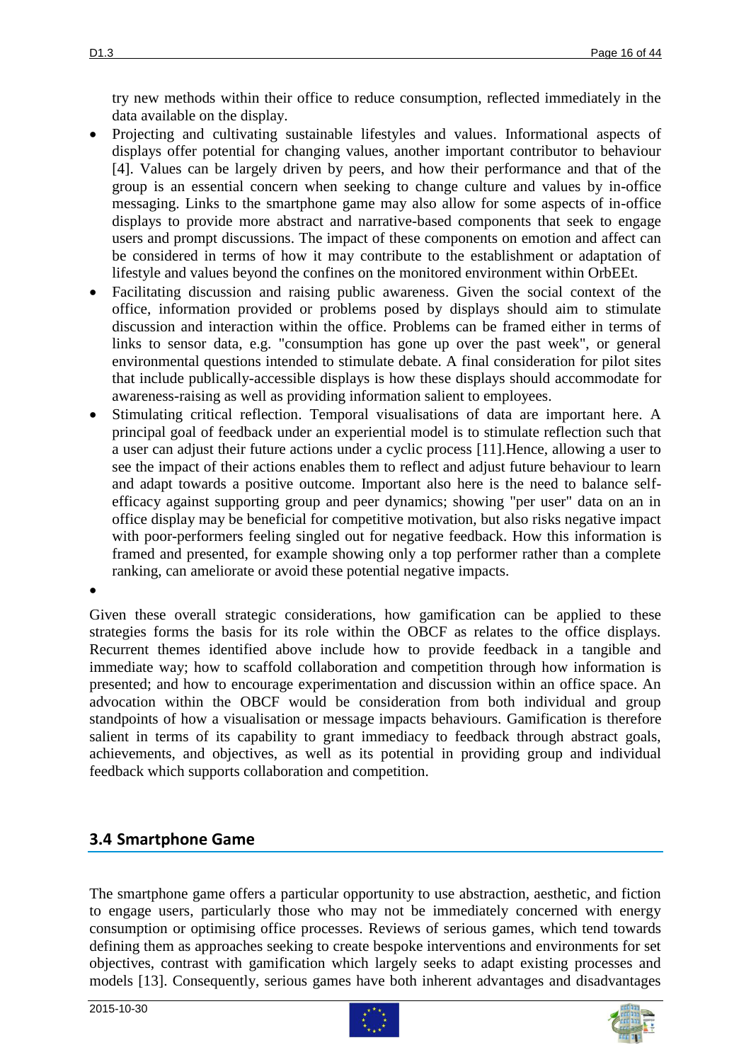try new methods within their office to reduce consumption, reflected immediately in the data available on the display.

- Projecting and cultivating sustainable lifestyles and values. Informational aspects of displays offer potential for changing values, another important contributor to behaviour [\[4\]](#page-41-3). Values can be largely driven by peers, and how their performance and that of the group is an essential concern when seeking to change culture and values by in-office messaging. Links to the smartphone game may also allow for some aspects of in-office displays to provide more abstract and narrative-based components that seek to engage users and prompt discussions. The impact of these components on emotion and affect can be considered in terms of how it may contribute to the establishment or adaptation of lifestyle and values beyond the confines on the monitored environment within OrbEEt.
- Facilitating discussion and raising public awareness. Given the social context of the office, information provided or problems posed by displays should aim to stimulate discussion and interaction within the office. Problems can be framed either in terms of links to sensor data, e.g. "consumption has gone up over the past week", or general environmental questions intended to stimulate debate. A final consideration for pilot sites that include publically-accessible displays is how these displays should accommodate for awareness-raising as well as providing information salient to employees.
- Stimulating critical reflection. Temporal visualisations of data are important here. A principal goal of feedback under an experiential model is to stimulate reflection such that a user can adjust their future actions under a cyclic process [\[11\]](#page-41-10).Hence, allowing a user to see the impact of their actions enables them to reflect and adjust future behaviour to learn and adapt towards a positive outcome. Important also here is the need to balance selfefficacy against supporting group and peer dynamics; showing "per user" data on an in office display may be beneficial for competitive motivation, but also risks negative impact with poor-performers feeling singled out for negative feedback. How this information is framed and presented, for example showing only a top performer rather than a complete ranking, can ameliorate or avoid these potential negative impacts.

Given these overall strategic considerations, how gamification can be applied to these strategies forms the basis for its role within the OBCF as relates to the office displays. Recurrent themes identified above include how to provide feedback in a tangible and immediate way; how to scaffold collaboration and competition through how information is presented; and how to encourage experimentation and discussion within an office space. An advocation within the OBCF would be consideration from both individual and group standpoints of how a visualisation or message impacts behaviours. Gamification is therefore salient in terms of its capability to grant immediacy to feedback through abstract goals, achievements, and objectives, as well as its potential in providing group and individual feedback which supports collaboration and competition.

### **3.4 Smartphone Game**

The smartphone game offers a particular opportunity to use abstraction, aesthetic, and fiction to engage users, particularly those who may not be immediately concerned with energy consumption or optimising office processes. Reviews of serious games, which tend towards defining them as approaches seeking to create bespoke interventions and environments for set objectives, contrast with gamification which largely seeks to adapt existing processes and models [\[13\]](#page-41-12). Consequently, serious games have both inherent advantages and disadvantages

 $\bullet$ 



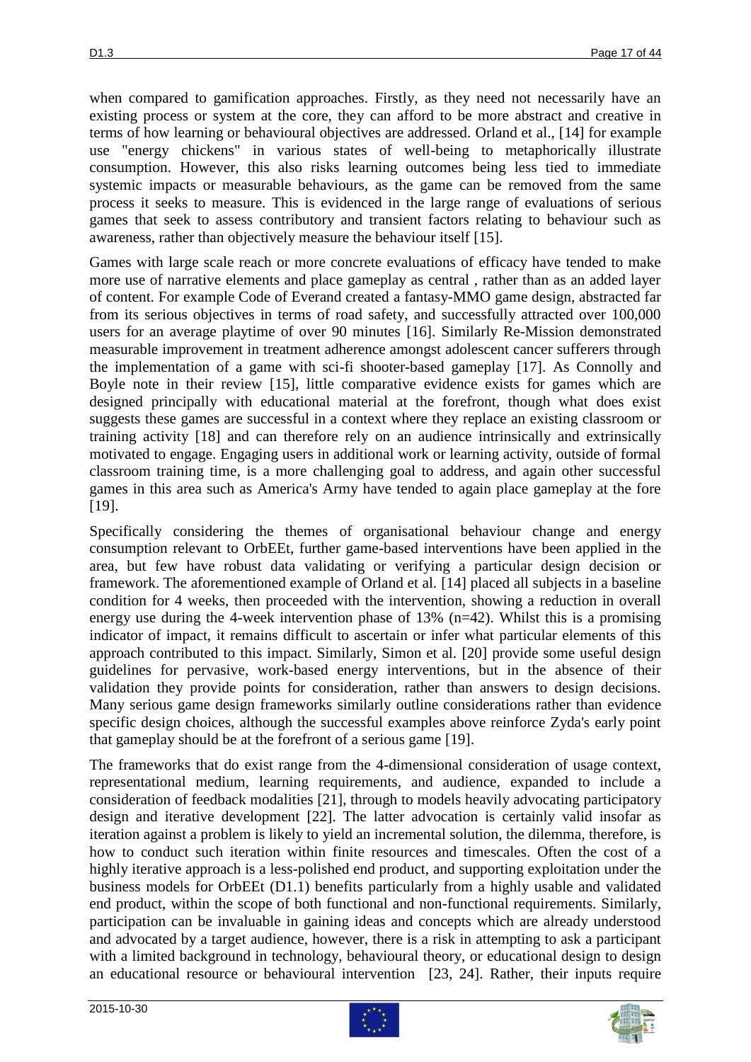when compared to gamification approaches. Firstly, as they need not necessarily have an existing process or system at the core, they can afford to be more abstract and creative in terms of how learning or behavioural objectives are addressed. Orland et al., [\[14\]](#page-41-13) for example use "energy chickens" in various states of well-being to metaphorically illustrate consumption. However, this also risks learning outcomes being less tied to immediate systemic impacts or measurable behaviours, as the game can be removed from the same process it seeks to measure. This is evidenced in the large range of evaluations of serious games that seek to assess contributory and transient factors relating to behaviour such as awareness, rather than objectively measure the behaviour itself [\[15\]](#page-42-0).

Games with large scale reach or more concrete evaluations of efficacy have tended to make more use of narrative elements and place gameplay as central , rather than as an added layer of content. For example Code of Everand created a fantasy-MMO game design, abstracted far from its serious objectives in terms of road safety, and successfully attracted over 100,000 users for an average playtime of over 90 minutes [\[16\]](#page-42-1). Similarly Re-Mission demonstrated measurable improvement in treatment adherence amongst adolescent cancer sufferers through the implementation of a game with sci-fi shooter-based gameplay [\[17\]](#page-42-2). As Connolly and Boyle note in their review [\[15\]](#page-42-0), little comparative evidence exists for games which are designed principally with educational material at the forefront, though what does exist suggests these games are successful in a context where they replace an existing classroom or training activity [\[18\]](#page-42-3) and can therefore rely on an audience intrinsically and extrinsically motivated to engage. Engaging users in additional work or learning activity, outside of formal classroom training time, is a more challenging goal to address, and again other successful games in this area such as America's Army have tended to again place gameplay at the fore [\[19\]](#page-42-4).

Specifically considering the themes of organisational behaviour change and energy consumption relevant to OrbEEt, further game-based interventions have been applied in the area, but few have robust data validating or verifying a particular design decision or framework. The aforementioned example of Orland et al. [\[14\]](#page-41-13) placed all subjects in a baseline condition for 4 weeks, then proceeded with the intervention, showing a reduction in overall energy use during the 4-week intervention phase of  $13\%$  (n=42). Whilst this is a promising indicator of impact, it remains difficult to ascertain or infer what particular elements of this approach contributed to this impact. Similarly, Simon et al. [\[20\]](#page-42-5) provide some useful design guidelines for pervasive, work-based energy interventions, but in the absence of their validation they provide points for consideration, rather than answers to design decisions. Many serious game design frameworks similarly outline considerations rather than evidence specific design choices, although the successful examples above reinforce Zyda's early point that gameplay should be at the forefront of a serious game [\[19\]](#page-42-4).

The frameworks that do exist range from the 4-dimensional consideration of usage context, representational medium, learning requirements, and audience, expanded to include a consideration of feedback modalities [\[21\]](#page-42-6), through to models heavily advocating participatory design and iterative development [\[22\]](#page-42-7). The latter advocation is certainly valid insofar as iteration against a problem is likely to yield an incremental solution, the dilemma, therefore, is how to conduct such iteration within finite resources and timescales. Often the cost of a highly iterative approach is a less-polished end product, and supporting exploitation under the business models for OrbEEt (D1.1) benefits particularly from a highly usable and validated end product, within the scope of both functional and non-functional requirements. Similarly, participation can be invaluable in gaining ideas and concepts which are already understood and advocated by a target audience, however, there is a risk in attempting to ask a participant with a limited background in technology, behavioural theory, or educational design to design an educational resource or behavioural intervention [\[23,](#page-42-8) [24\]](#page-42-9). Rather, their inputs require



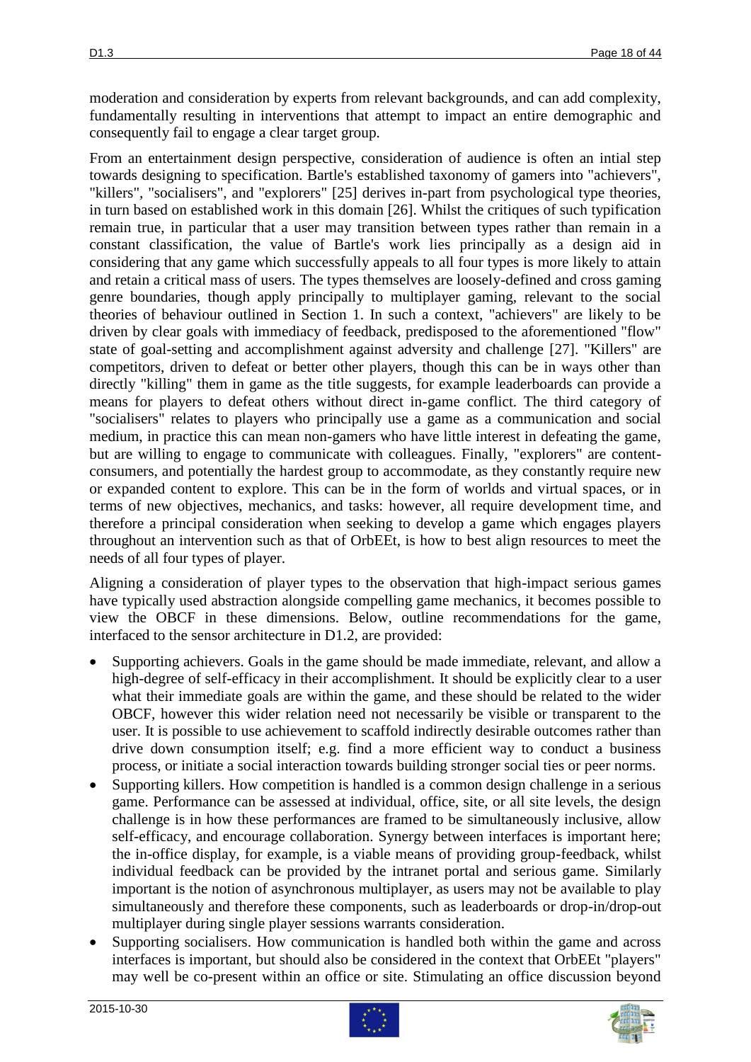moderation and consideration by experts from relevant backgrounds, and can add complexity, fundamentally resulting in interventions that attempt to impact an entire demographic and consequently fail to engage a clear target group.

From an entertainment design perspective, consideration of audience is often an intial step towards designing to specification. Bartle's established taxonomy of gamers into "achievers", "killers", "socialisers", and "explorers" [\[25\]](#page-42-10) derives in-part from psychological type theories, in turn based on established work in this domain [\[26\]](#page-42-11). Whilst the critiques of such typification remain true, in particular that a user may transition between types rather than remain in a constant classification, the value of Bartle's work lies principally as a design aid in considering that any game which successfully appeals to all four types is more likely to attain and retain a critical mass of users. The types themselves are loosely-defined and cross gaming genre boundaries, though apply principally to multiplayer gaming, relevant to the social theories of behaviour outlined in Section 1. In such a context, "achievers" are likely to be driven by clear goals with immediacy of feedback, predisposed to the aforementioned "flow" state of goal-setting and accomplishment against adversity and challenge [\[27\]](#page-42-12). "Killers" are competitors, driven to defeat or better other players, though this can be in ways other than directly "killing" them in game as the title suggests, for example leaderboards can provide a means for players to defeat others without direct in-game conflict. The third category of "socialisers" relates to players who principally use a game as a communication and social medium, in practice this can mean non-gamers who have little interest in defeating the game, but are willing to engage to communicate with colleagues. Finally, "explorers" are contentconsumers, and potentially the hardest group to accommodate, as they constantly require new or expanded content to explore. This can be in the form of worlds and virtual spaces, or in terms of new objectives, mechanics, and tasks: however, all require development time, and therefore a principal consideration when seeking to develop a game which engages players throughout an intervention such as that of OrbEEt, is how to best align resources to meet the needs of all four types of player.

Aligning a consideration of player types to the observation that high-impact serious games have typically used abstraction alongside compelling game mechanics, it becomes possible to view the OBCF in these dimensions. Below, outline recommendations for the game, interfaced to the sensor architecture in D1.2, are provided:

- Supporting achievers. Goals in the game should be made immediate, relevant, and allow a high-degree of self-efficacy in their accomplishment. It should be explicitly clear to a user what their immediate goals are within the game, and these should be related to the wider OBCF, however this wider relation need not necessarily be visible or transparent to the user. It is possible to use achievement to scaffold indirectly desirable outcomes rather than drive down consumption itself; e.g. find a more efficient way to conduct a business process, or initiate a social interaction towards building stronger social ties or peer norms.
- Supporting killers. How competition is handled is a common design challenge in a serious game. Performance can be assessed at individual, office, site, or all site levels, the design challenge is in how these performances are framed to be simultaneously inclusive, allow self-efficacy, and encourage collaboration. Synergy between interfaces is important here; the in-office display, for example, is a viable means of providing group-feedback, whilst individual feedback can be provided by the intranet portal and serious game. Similarly important is the notion of asynchronous multiplayer, as users may not be available to play simultaneously and therefore these components, such as leaderboards or drop-in/drop-out multiplayer during single player sessions warrants consideration.
- Supporting socialisers. How communication is handled both within the game and across interfaces is important, but should also be considered in the context that OrbEEt "players" may well be co-present within an office or site. Stimulating an office discussion beyond



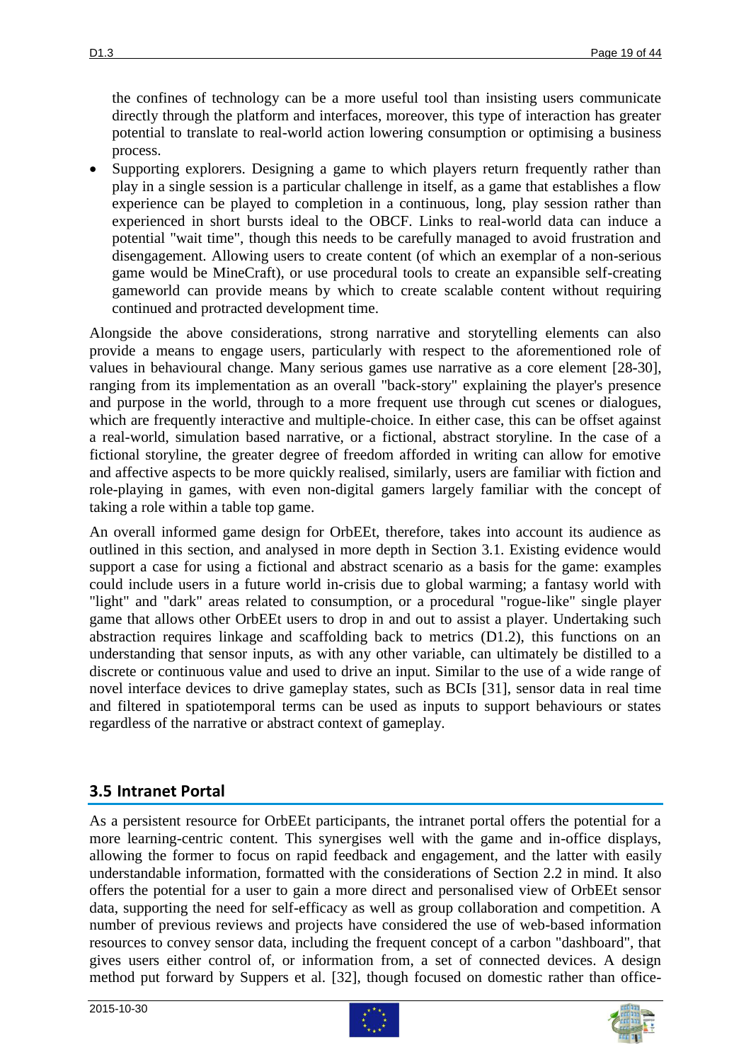the confines of technology can be a more useful tool than insisting users communicate directly through the platform and interfaces, moreover, this type of interaction has greater potential to translate to real-world action lowering consumption or optimising a business process.

 Supporting explorers. Designing a game to which players return frequently rather than play in a single session is a particular challenge in itself, as a game that establishes a flow experience can be played to completion in a continuous, long, play session rather than experienced in short bursts ideal to the OBCF. Links to real-world data can induce a potential "wait time", though this needs to be carefully managed to avoid frustration and disengagement. Allowing users to create content (of which an exemplar of a non-serious game would be MineCraft), or use procedural tools to create an expansible self-creating gameworld can provide means by which to create scalable content without requiring continued and protracted development time.

Alongside the above considerations, strong narrative and storytelling elements can also provide a means to engage users, particularly with respect to the aforementioned role of values in behavioural change. Many serious games use narrative as a core element [\[28-30\]](#page-42-13), ranging from its implementation as an overall "back-story" explaining the player's presence and purpose in the world, through to a more frequent use through cut scenes or dialogues, which are frequently interactive and multiple-choice. In either case, this can be offset against a real-world, simulation based narrative, or a fictional, abstract storyline. In the case of a fictional storyline, the greater degree of freedom afforded in writing can allow for emotive and affective aspects to be more quickly realised, similarly, users are familiar with fiction and role-playing in games, with even non-digital gamers largely familiar with the concept of taking a role within a table top game.

An overall informed game design for OrbEEt, therefore, takes into account its audience as outlined in this section, and analysed in more depth in Section 3.1. Existing evidence would support a case for using a fictional and abstract scenario as a basis for the game: examples could include users in a future world in-crisis due to global warming; a fantasy world with "light" and "dark" areas related to consumption, or a procedural "rogue-like" single player game that allows other OrbEEt users to drop in and out to assist a player. Undertaking such abstraction requires linkage and scaffolding back to metrics (D1.2), this functions on an understanding that sensor inputs, as with any other variable, can ultimately be distilled to a discrete or continuous value and used to drive an input. Similar to the use of a wide range of novel interface devices to drive gameplay states, such as BCIs [\[31\]](#page-43-0), sensor data in real time and filtered in spatiotemporal terms can be used as inputs to support behaviours or states regardless of the narrative or abstract context of gameplay.

### **3.5 Intranet Portal**

As a persistent resource for OrbEEt participants, the intranet portal offers the potential for a more learning-centric content. This synergises well with the game and in-office displays, allowing the former to focus on rapid feedback and engagement, and the latter with easily understandable information, formatted with the considerations of Section 2.2 in mind. It also offers the potential for a user to gain a more direct and personalised view of OrbEEt sensor data, supporting the need for self-efficacy as well as group collaboration and competition. A number of previous reviews and projects have considered the use of web-based information resources to convey sensor data, including the frequent concept of a carbon "dashboard", that gives users either control of, or information from, a set of connected devices. A design method put forward by Suppers et al. [\[32\]](#page-43-1), though focused on domestic rather than office-



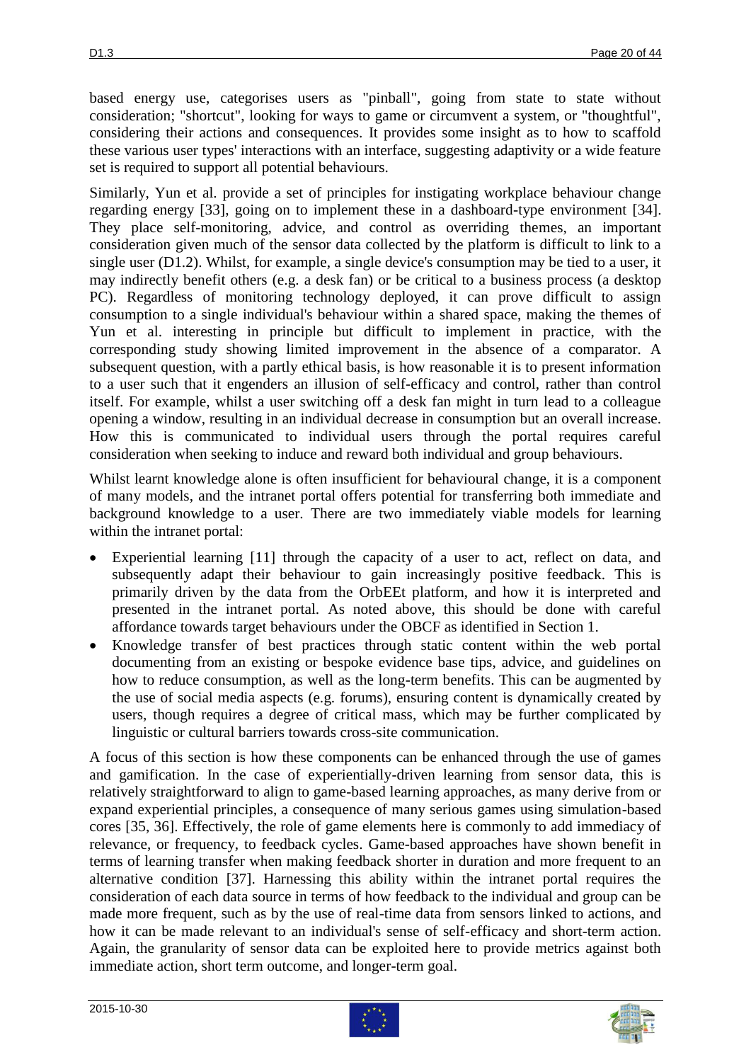based energy use, categorises users as "pinball", going from state to state without consideration; "shortcut", looking for ways to game or circumvent a system, or "thoughtful", considering their actions and consequences. It provides some insight as to how to scaffold these various user types' interactions with an interface, suggesting adaptivity or a wide feature set is required to support all potential behaviours.

Similarly, Yun et al. provide a set of principles for instigating workplace behaviour change regarding energy [\[33\]](#page-43-2), going on to implement these in a dashboard-type environment [\[34\]](#page-43-3). They place self-monitoring, advice, and control as overriding themes, an important consideration given much of the sensor data collected by the platform is difficult to link to a single user (D1.2). Whilst, for example, a single device's consumption may be tied to a user, it may indirectly benefit others (e.g. a desk fan) or be critical to a business process (a desktop PC). Regardless of monitoring technology deployed, it can prove difficult to assign consumption to a single individual's behaviour within a shared space, making the themes of Yun et al. interesting in principle but difficult to implement in practice, with the corresponding study showing limited improvement in the absence of a comparator. A subsequent question, with a partly ethical basis, is how reasonable it is to present information to a user such that it engenders an illusion of self-efficacy and control, rather than control itself. For example, whilst a user switching off a desk fan might in turn lead to a colleague opening a window, resulting in an individual decrease in consumption but an overall increase. How this is communicated to individual users through the portal requires careful consideration when seeking to induce and reward both individual and group behaviours.

Whilst learnt knowledge alone is often insufficient for behavioural change, it is a component of many models, and the intranet portal offers potential for transferring both immediate and background knowledge to a user. There are two immediately viable models for learning within the intranet portal:

- Experiential learning [\[11\]](#page-41-10) through the capacity of a user to act, reflect on data, and subsequently adapt their behaviour to gain increasingly positive feedback. This is primarily driven by the data from the OrbEEt platform, and how it is interpreted and presented in the intranet portal. As noted above, this should be done with careful affordance towards target behaviours under the OBCF as identified in Section 1.
- Knowledge transfer of best practices through static content within the web portal documenting from an existing or bespoke evidence base tips, advice, and guidelines on how to reduce consumption, as well as the long-term benefits. This can be augmented by the use of social media aspects (e.g. forums), ensuring content is dynamically created by users, though requires a degree of critical mass, which may be further complicated by linguistic or cultural barriers towards cross-site communication.

A focus of this section is how these components can be enhanced through the use of games and gamification. In the case of experientially-driven learning from sensor data, this is relatively straightforward to align to game-based learning approaches, as many derive from or expand experiential principles, a consequence of many serious games using simulation-based cores [\[35,](#page-43-4) [36\]](#page-43-5). Effectively, the role of game elements here is commonly to add immediacy of relevance, or frequency, to feedback cycles. Game-based approaches have shown benefit in terms of learning transfer when making feedback shorter in duration and more frequent to an alternative condition [\[37\]](#page-43-6). Harnessing this ability within the intranet portal requires the consideration of each data source in terms of how feedback to the individual and group can be made more frequent, such as by the use of real-time data from sensors linked to actions, and how it can be made relevant to an individual's sense of self-efficacy and short-term action. Again, the granularity of sensor data can be exploited here to provide metrics against both immediate action, short term outcome, and longer-term goal.



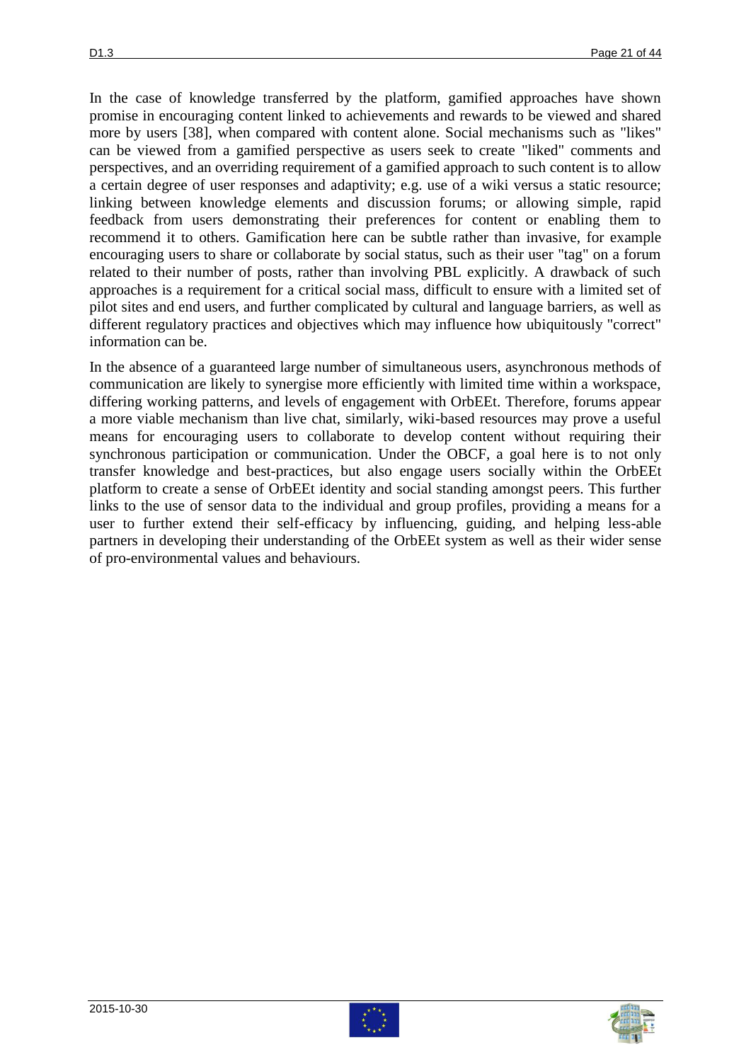In the case of knowledge transferred by the platform, gamified approaches have shown promise in encouraging content linked to achievements and rewards to be viewed and shared more by users [\[38\]](#page-43-7), when compared with content alone. Social mechanisms such as "likes" can be viewed from a gamified perspective as users seek to create "liked" comments and perspectives, and an overriding requirement of a gamified approach to such content is to allow a certain degree of user responses and adaptivity; e.g. use of a wiki versus a static resource; linking between knowledge elements and discussion forums; or allowing simple, rapid feedback from users demonstrating their preferences for content or enabling them to recommend it to others. Gamification here can be subtle rather than invasive, for example encouraging users to share or collaborate by social status, such as their user "tag" on a forum related to their number of posts, rather than involving PBL explicitly. A drawback of such approaches is a requirement for a critical social mass, difficult to ensure with a limited set of pilot sites and end users, and further complicated by cultural and language barriers, as well as different regulatory practices and objectives which may influence how ubiquitously "correct" information can be.

In the absence of a guaranteed large number of simultaneous users, asynchronous methods of communication are likely to synergise more efficiently with limited time within a workspace, differing working patterns, and levels of engagement with OrbEEt. Therefore, forums appear a more viable mechanism than live chat, similarly, wiki-based resources may prove a useful means for encouraging users to collaborate to develop content without requiring their synchronous participation or communication. Under the OBCF, a goal here is to not only transfer knowledge and best-practices, but also engage users socially within the OrbEEt platform to create a sense of OrbEEt identity and social standing amongst peers. This further links to the use of sensor data to the individual and group profiles, providing a means for a user to further extend their self-efficacy by influencing, guiding, and helping less-able partners in developing their understanding of the OrbEEt system as well as their wider sense of pro-environmental values and behaviours.

2015-10-30



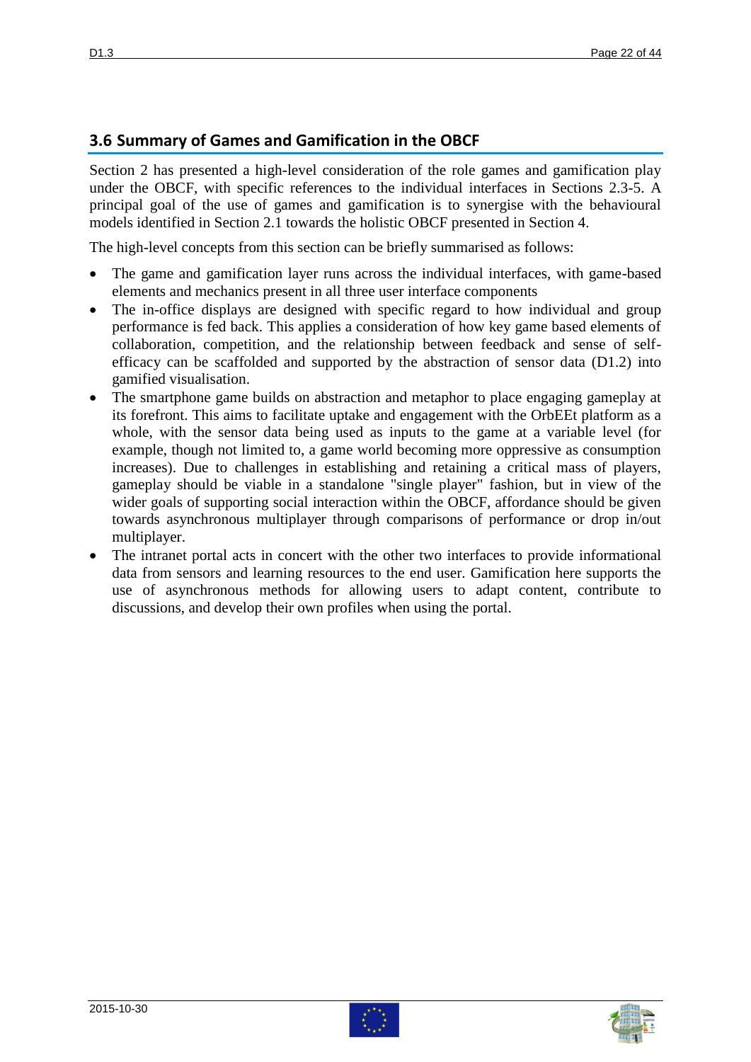#### **3.6 Summary of Games and Gamification in the OBCF**

Section 2 has presented a high-level consideration of the role games and gamification play under the OBCF, with specific references to the individual interfaces in Sections 2.3-5. A principal goal of the use of games and gamification is to synergise with the behavioural models identified in Section 2.1 towards the holistic OBCF presented in Section 4.

The high-level concepts from this section can be briefly summarised as follows:

- The game and gamification layer runs across the individual interfaces, with game-based elements and mechanics present in all three user interface components
- The in-office displays are designed with specific regard to how individual and group performance is fed back. This applies a consideration of how key game based elements of collaboration, competition, and the relationship between feedback and sense of selfefficacy can be scaffolded and supported by the abstraction of sensor data (D1.2) into gamified visualisation.
- The smartphone game builds on abstraction and metaphor to place engaging gameplay at its forefront. This aims to facilitate uptake and engagement with the OrbEEt platform as a whole, with the sensor data being used as inputs to the game at a variable level (for example, though not limited to, a game world becoming more oppressive as consumption increases). Due to challenges in establishing and retaining a critical mass of players, gameplay should be viable in a standalone "single player" fashion, but in view of the wider goals of supporting social interaction within the OBCF, affordance should be given towards asynchronous multiplayer through comparisons of performance or drop in/out multiplayer.
- The intranet portal acts in concert with the other two interfaces to provide informational data from sensors and learning resources to the end user. Gamification here supports the use of asynchronous methods for allowing users to adapt content, contribute to discussions, and develop their own profiles when using the portal.



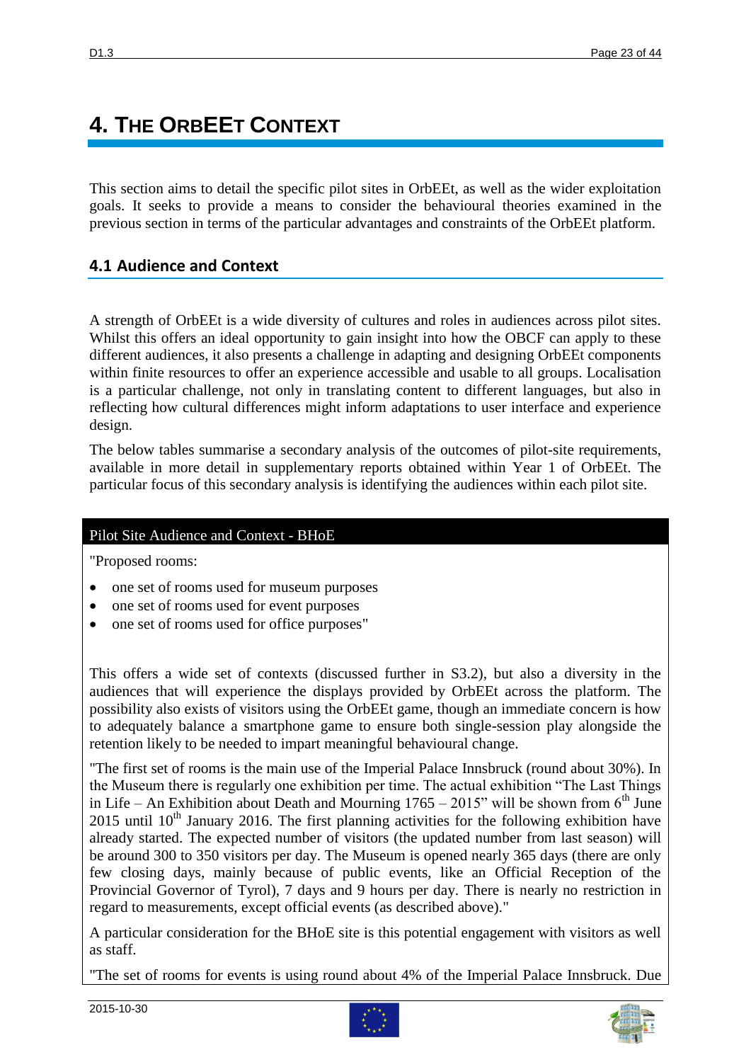# **4. THE ORBEET CONTEXT**

This section aims to detail the specific pilot sites in OrbEEt, as well as the wider exploitation goals. It seeks to provide a means to consider the behavioural theories examined in the previous section in terms of the particular advantages and constraints of the OrbEEt platform.

## **4.1 Audience and Context**

A strength of OrbEEt is a wide diversity of cultures and roles in audiences across pilot sites. Whilst this offers an ideal opportunity to gain insight into how the OBCF can apply to these different audiences, it also presents a challenge in adapting and designing OrbEEt components within finite resources to offer an experience accessible and usable to all groups. Localisation is a particular challenge, not only in translating content to different languages, but also in reflecting how cultural differences might inform adaptations to user interface and experience design.

The below tables summarise a secondary analysis of the outcomes of pilot-site requirements, available in more detail in supplementary reports obtained within Year 1 of OrbEEt. The particular focus of this secondary analysis is identifying the audiences within each pilot site.

#### Pilot Site Audience and Context - BHoE

"Proposed rooms:

- one set of rooms used for museum purposes
- one set of rooms used for event purposes
- one set of rooms used for office purposes"

This offers a wide set of contexts (discussed further in S3.2), but also a diversity in the audiences that will experience the displays provided by OrbEEt across the platform. The possibility also exists of visitors using the OrbEEt game, though an immediate concern is how to adequately balance a smartphone game to ensure both single-session play alongside the retention likely to be needed to impart meaningful behavioural change.

"The first set of rooms is the main use of the Imperial Palace Innsbruck (round about 30%). In the Museum there is regularly one exhibition per time. The actual exhibition "The Last Things in Life – An Exhibition about Death and Mourning  $1765 - 2015$ " will be shown from 6<sup>th</sup> June 2015 until  $10^{th}$  January 2016. The first planning activities for the following exhibition have already started. The expected number of visitors (the updated number from last season) will be around 300 to 350 visitors per day. The Museum is opened nearly 365 days (there are only few closing days, mainly because of public events, like an Official Reception of the Provincial Governor of Tyrol), 7 days and 9 hours per day. There is nearly no restriction in regard to measurements, except official events (as described above)."

A particular consideration for the BHoE site is this potential engagement with visitors as well as staff.

"The set of rooms for events is using round about 4% of the Imperial Palace Innsbruck. Due



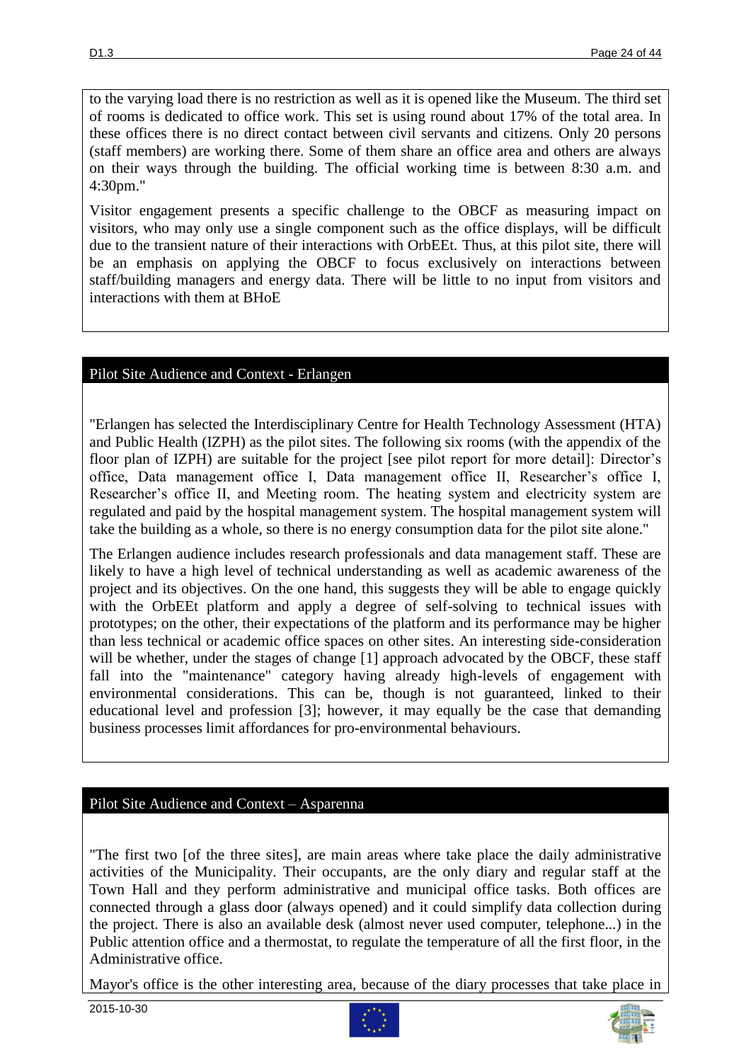to the varying load there is no restriction as well as it is opened like the Museum. The third set of rooms is dedicated to office work. This set is using round about 17% of the total area. In these offices there is no direct contact between civil servants and citizens. Only 20 persons (staff members) are working there. Some of them share an office area and others are always on their ways through the building. The official working time is between 8:30 a.m. and 4:30pm."

Visitor engagement presents a specific challenge to the OBCF as measuring impact on visitors, who may only use a single component such as the office displays, will be difficult due to the transient nature of their interactions with OrbEEt. Thus, at this pilot site, there will be an emphasis on applying the OBCF to focus exclusively on interactions between staff/building managers and energy data. There will be little to no input from visitors and interactions with them at BHoE

#### Pilot Site Audience and Context - Erlangen

"Erlangen has selected the Interdisciplinary Centre for Health Technology Assessment (HTA) and Public Health (IZPH) as the pilot sites. The following six rooms (with the appendix of the floor plan of IZPH) are suitable for the project [see pilot report for more detail]: Director's office, Data management office I, Data management office II, Researcher's office I, Researcher's office II, and Meeting room. The heating system and electricity system are regulated and paid by the hospital management system. The hospital management system will take the building as a whole, so there is no energy consumption data for the pilot site alone."

The Erlangen audience includes research professionals and data management staff. These are likely to have a high level of technical understanding as well as academic awareness of the project and its objectives. On the one hand, this suggests they will be able to engage quickly with the OrbEEt platform and apply a degree of self-solving to technical issues with prototypes; on the other, their expectations of the platform and its performance may be higher than less technical or academic office spaces on other sites. An interesting side-consideration will be whether, under the stages of change [\[1\]](#page-41-0) approach advocated by the OBCF, these staff fall into the "maintenance" category having already high-levels of engagement with environmental considerations. This can be, though is not guaranteed, linked to their educational level and profession [\[3\]](#page-41-2); however, it may equally be the case that demanding business processes limit affordances for pro-environmental behaviours.

#### Pilot Site Audience and Context – Asparenna

"The first two [of the three sites], are main areas where take place the daily administrative activities of the Municipality. Their occupants, are the only diary and regular staff at the Town Hall and they perform administrative and municipal office tasks. Both offices are connected through a glass door (always opened) and it could simplify data collection during the project. There is also an available desk (almost never used computer, telephone...) in the Public attention office and a thermostat, to regulate the temperature of all the first floor, in the Administrative office.

Mayor's office is the other interesting area, because of the diary processes that take place in



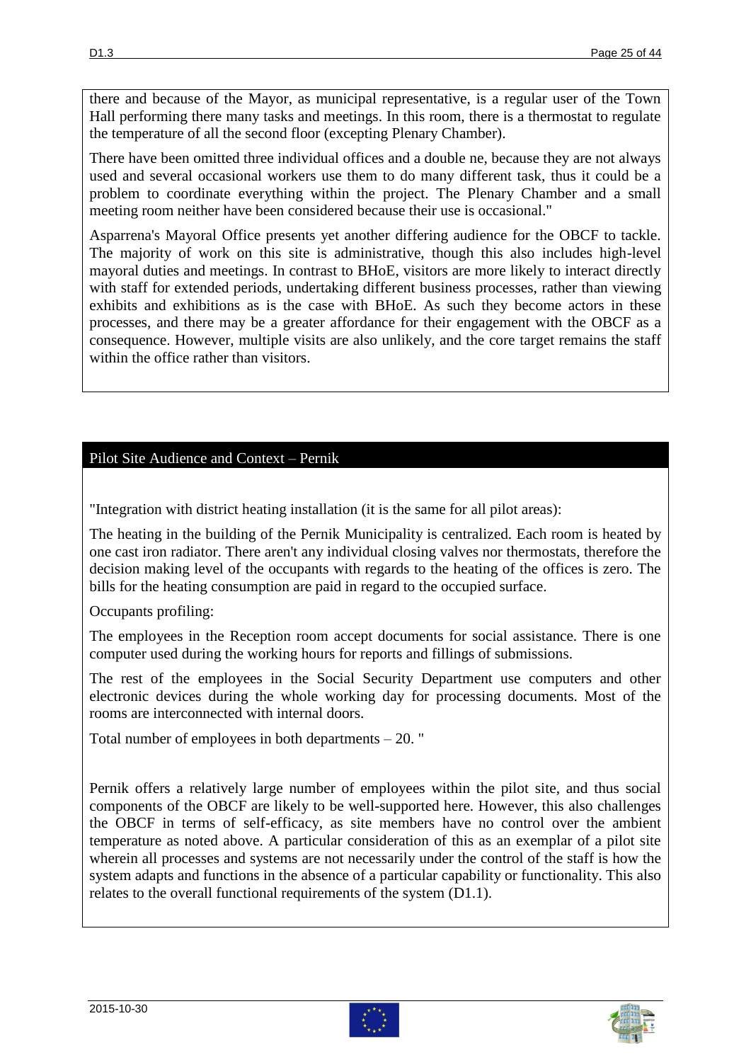there and because of the Mayor, as municipal representative, is a regular user of the Town Hall performing there many tasks and meetings. In this room, there is a thermostat to regulate the temperature of all the second floor (excepting Plenary Chamber).

There have been omitted three individual offices and a double ne, because they are not always used and several occasional workers use them to do many different task, thus it could be a problem to coordinate everything within the project. The Plenary Chamber and a small meeting room neither have been considered because their use is occasional."

Asparrena's Mayoral Office presents yet another differing audience for the OBCF to tackle. The majority of work on this site is administrative, though this also includes high-level mayoral duties and meetings. In contrast to BHoE, visitors are more likely to interact directly with staff for extended periods, undertaking different business processes, rather than viewing exhibits and exhibitions as is the case with BHoE. As such they become actors in these processes, and there may be a greater affordance for their engagement with the OBCF as a consequence. However, multiple visits are also unlikely, and the core target remains the staff within the office rather than visitors.

### Pilot Site Audience and Context – Pernik

"Integration with district heating installation (it is the same for all pilot areas):

The heating in the building of the Pernik Municipality is centralized. Each room is heated by one cast iron radiator. There aren't any individual closing valves nor thermostats, therefore the decision making level of the occupants with regards to the heating of the offices is zero. The bills for the heating consumption are paid in regard to the occupied surface.

Occupants profiling:

The employees in the Reception room accept documents for social assistance. There is one computer used during the working hours for reports and fillings of submissions.

The rest of the employees in the Social Security Department use computers and other electronic devices during the whole working day for processing documents. Most of the rooms are interconnected with internal doors.

Total number of employees in both departments – 20. "

Pernik offers a relatively large number of employees within the pilot site, and thus social components of the OBCF are likely to be well-supported here. However, this also challenges the OBCF in terms of self-efficacy, as site members have no control over the ambient temperature as noted above. A particular consideration of this as an exemplar of a pilot site wherein all processes and systems are not necessarily under the control of the staff is how the system adapts and functions in the absence of a particular capability or functionality. This also relates to the overall functional requirements of the system (D1.1).



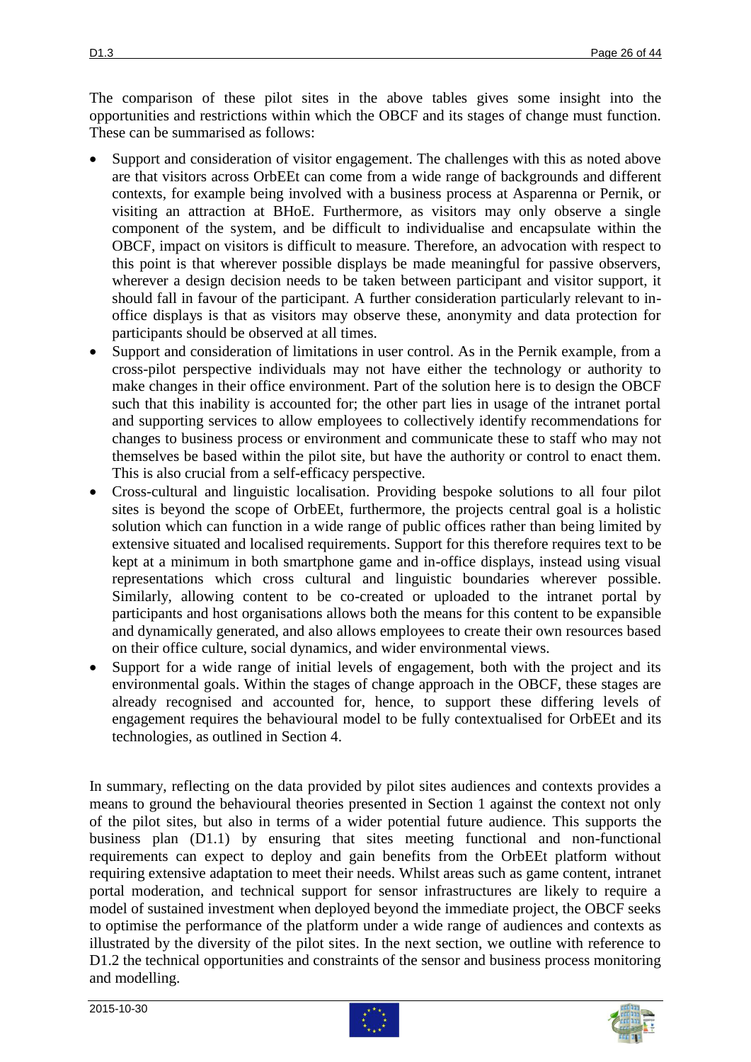The comparison of these pilot sites in the above tables gives some insight into the opportunities and restrictions within which the OBCF and its stages of change must function. These can be summarised as follows:

- Support and consideration of visitor engagement. The challenges with this as noted above are that visitors across OrbEEt can come from a wide range of backgrounds and different contexts, for example being involved with a business process at Asparenna or Pernik, or visiting an attraction at BHoE. Furthermore, as visitors may only observe a single component of the system, and be difficult to individualise and encapsulate within the OBCF, impact on visitors is difficult to measure. Therefore, an advocation with respect to this point is that wherever possible displays be made meaningful for passive observers, wherever a design decision needs to be taken between participant and visitor support, it should fall in favour of the participant. A further consideration particularly relevant to inoffice displays is that as visitors may observe these, anonymity and data protection for participants should be observed at all times.
- Support and consideration of limitations in user control. As in the Pernik example, from a cross-pilot perspective individuals may not have either the technology or authority to make changes in their office environment. Part of the solution here is to design the OBCF such that this inability is accounted for; the other part lies in usage of the intranet portal and supporting services to allow employees to collectively identify recommendations for changes to business process or environment and communicate these to staff who may not themselves be based within the pilot site, but have the authority or control to enact them. This is also crucial from a self-efficacy perspective.
- Cross-cultural and linguistic localisation. Providing bespoke solutions to all four pilot sites is beyond the scope of OrbEEt, furthermore, the projects central goal is a holistic solution which can function in a wide range of public offices rather than being limited by extensive situated and localised requirements. Support for this therefore requires text to be kept at a minimum in both smartphone game and in-office displays, instead using visual representations which cross cultural and linguistic boundaries wherever possible. Similarly, allowing content to be co-created or uploaded to the intranet portal by participants and host organisations allows both the means for this content to be expansible and dynamically generated, and also allows employees to create their own resources based on their office culture, social dynamics, and wider environmental views.
- Support for a wide range of initial levels of engagement, both with the project and its environmental goals. Within the stages of change approach in the OBCF, these stages are already recognised and accounted for, hence, to support these differing levels of engagement requires the behavioural model to be fully contextualised for OrbEEt and its technologies, as outlined in Section 4.

In summary, reflecting on the data provided by pilot sites audiences and contexts provides a means to ground the behavioural theories presented in Section 1 against the context not only of the pilot sites, but also in terms of a wider potential future audience. This supports the business plan (D1.1) by ensuring that sites meeting functional and non-functional requirements can expect to deploy and gain benefits from the OrbEEt platform without requiring extensive adaptation to meet their needs. Whilst areas such as game content, intranet portal moderation, and technical support for sensor infrastructures are likely to require a model of sustained investment when deployed beyond the immediate project, the OBCF seeks to optimise the performance of the platform under a wide range of audiences and contexts as illustrated by the diversity of the pilot sites. In the next section, we outline with reference to D1.2 the technical opportunities and constraints of the sensor and business process monitoring and modelling.



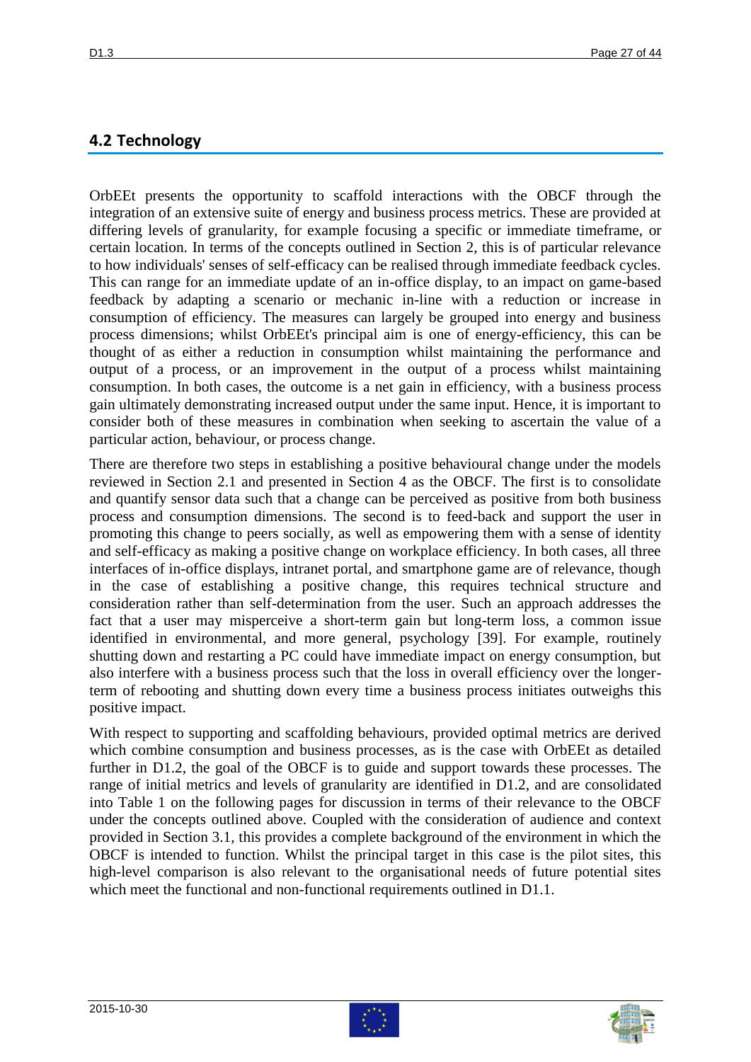## **4.2 Technology**

OrbEEt presents the opportunity to scaffold interactions with the OBCF through the integration of an extensive suite of energy and business process metrics. These are provided at differing levels of granularity, for example focusing a specific or immediate timeframe, or certain location. In terms of the concepts outlined in Section 2, this is of particular relevance to how individuals' senses of self-efficacy can be realised through immediate feedback cycles. This can range for an immediate update of an in-office display, to an impact on game-based feedback by adapting a scenario or mechanic in-line with a reduction or increase in consumption of efficiency. The measures can largely be grouped into energy and business process dimensions; whilst OrbEEt's principal aim is one of energy-efficiency, this can be thought of as either a reduction in consumption whilst maintaining the performance and output of a process, or an improvement in the output of a process whilst maintaining consumption. In both cases, the outcome is a net gain in efficiency, with a business process gain ultimately demonstrating increased output under the same input. Hence, it is important to consider both of these measures in combination when seeking to ascertain the value of a particular action, behaviour, or process change.

There are therefore two steps in establishing a positive behavioural change under the models reviewed in Section 2.1 and presented in Section 4 as the OBCF. The first is to consolidate and quantify sensor data such that a change can be perceived as positive from both business process and consumption dimensions. The second is to feed-back and support the user in promoting this change to peers socially, as well as empowering them with a sense of identity and self-efficacy as making a positive change on workplace efficiency. In both cases, all three interfaces of in-office displays, intranet portal, and smartphone game are of relevance, though in the case of establishing a positive change, this requires technical structure and consideration rather than self-determination from the user. Such an approach addresses the fact that a user may misperceive a short-term gain but long-term loss, a common issue identified in environmental, and more general, psychology [\[39\]](#page-43-8). For example, routinely shutting down and restarting a PC could have immediate impact on energy consumption, but also interfere with a business process such that the loss in overall efficiency over the longerterm of rebooting and shutting down every time a business process initiates outweighs this positive impact.

With respect to supporting and scaffolding behaviours, provided optimal metrics are derived which combine consumption and business processes, as is the case with OrbEEt as detailed further in D1.2, the goal of the OBCF is to guide and support towards these processes. The range of initial metrics and levels of granularity are identified in D1.2, and are consolidated into Table 1 on the following pages for discussion in terms of their relevance to the OBCF under the concepts outlined above. Coupled with the consideration of audience and context provided in Section 3.1, this provides a complete background of the environment in which the OBCF is intended to function. Whilst the principal target in this case is the pilot sites, this high-level comparison is also relevant to the organisational needs of future potential sites which meet the functional and non-functional requirements outlined in D1.1.



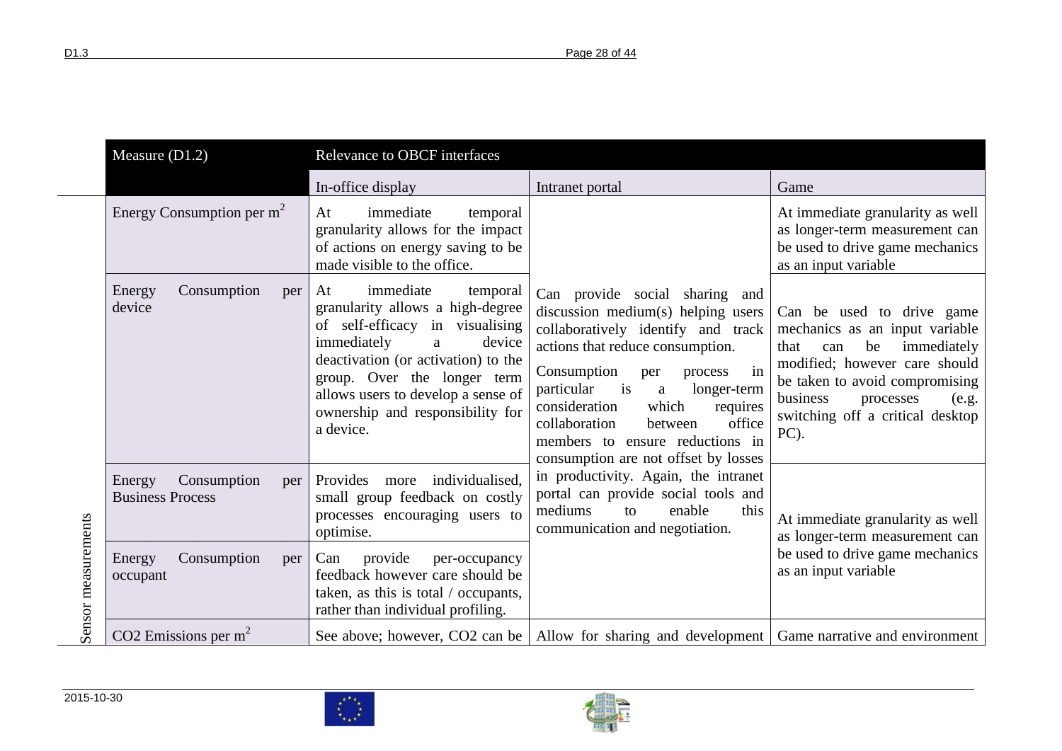|                     | Measure $(D1.2)$                                        | Relevance to OBCF interfaces                                                                                                                                                                                                                                                                  |                                                                                                                                                                                                                                                                                                                                                                                                 |                                                                                                                                                                                                                                                  |
|---------------------|---------------------------------------------------------|-----------------------------------------------------------------------------------------------------------------------------------------------------------------------------------------------------------------------------------------------------------------------------------------------|-------------------------------------------------------------------------------------------------------------------------------------------------------------------------------------------------------------------------------------------------------------------------------------------------------------------------------------------------------------------------------------------------|--------------------------------------------------------------------------------------------------------------------------------------------------------------------------------------------------------------------------------------------------|
|                     |                                                         | In-office display                                                                                                                                                                                                                                                                             | Intranet portal                                                                                                                                                                                                                                                                                                                                                                                 | Game                                                                                                                                                                                                                                             |
|                     | Energy Consumption per $m2$                             | immediate<br>At<br>temporal<br>granularity allows for the impact<br>of actions on energy saving to be<br>made visible to the office.                                                                                                                                                          |                                                                                                                                                                                                                                                                                                                                                                                                 | At immediate granularity as well<br>as longer-term measurement can<br>be used to drive game mechanics<br>as an input variable                                                                                                                    |
|                     | Consumption<br>Energy<br>per<br>device                  | immediate<br>At<br>temporal<br>granularity allows a high-degree<br>of self-efficacy in visualising<br>immediately<br>device<br>a<br>deactivation (or activation) to the<br>group. Over the longer term<br>allows users to develop a sense of<br>ownership and responsibility for<br>a device. | Can provide social sharing and<br>discussion medium(s) helping users<br>collaboratively identify and track<br>actions that reduce consumption.<br>Consumption<br>in<br>per<br>process<br>$\frac{1}{1}$<br>particular<br>longer-term<br>a<br>which<br>consideration<br>requires<br>office<br>collaboration<br>between<br>members to ensure reductions in<br>consumption are not offset by losses | Can be used to drive game<br>mechanics as an input variable<br>be<br>immediately<br>that<br>can<br>modified; however care should<br>be taken to avoid compromising<br>business<br>processes<br>(e.g.<br>switching off a critical desktop<br>PC). |
|                     | Consumption<br>Energy<br>per<br><b>Business Process</b> | individualised.<br>Provides<br>more<br>small group feedback on costly<br>processes encouraging users to<br>optimise.                                                                                                                                                                          | in productivity. Again, the intranet<br>portal can provide social tools and<br>mediums<br>enable<br>this<br>to<br>communication and negotiation.                                                                                                                                                                                                                                                | At immediate granularity as well<br>as longer-term measurement can                                                                                                                                                                               |
| Sensor measurements | Energy<br>Consumption<br>per<br>occupant                | provide<br>per-occupancy<br>Can<br>feedback however care should be<br>taken, as this is total / occupants,<br>rather than individual profiling.                                                                                                                                               |                                                                                                                                                                                                                                                                                                                                                                                                 | be used to drive game mechanics<br>as an input variable                                                                                                                                                                                          |
|                     | CO2 Emissions per $m2$                                  |                                                                                                                                                                                                                                                                                               | See above; however, CO2 can be   Allow for sharing and development   Game narrative and environment                                                                                                                                                                                                                                                                                             |                                                                                                                                                                                                                                                  |

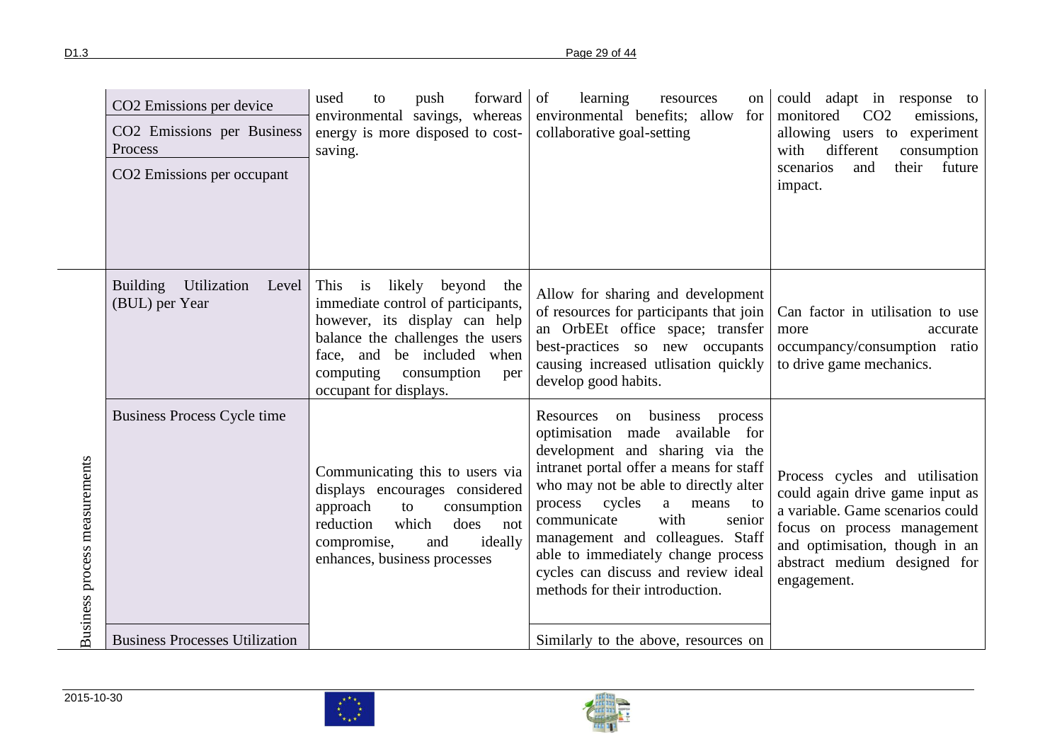|                               | CO2 Emissions per device<br>CO2 Emissions per Business<br>Process<br>CO2 Emissions per occupant | forward of<br>used<br>push<br>to<br>environmental savings, whereas<br>energy is more disposed to cost-<br>saving.                                                                                                                        | learning<br>resources<br><sub>on</sub><br>environmental benefits; allow for<br>collaborative goal-setting                                                                                                                                                                                                                                                                                                                | could adapt in response to<br>CO <sub>2</sub><br>monitored<br>emissions,<br>allowing users to experiment<br>different<br>with<br>consumption<br>their<br>future<br>scenarios<br>and<br>impact.                        |
|-------------------------------|-------------------------------------------------------------------------------------------------|------------------------------------------------------------------------------------------------------------------------------------------------------------------------------------------------------------------------------------------|--------------------------------------------------------------------------------------------------------------------------------------------------------------------------------------------------------------------------------------------------------------------------------------------------------------------------------------------------------------------------------------------------------------------------|-----------------------------------------------------------------------------------------------------------------------------------------------------------------------------------------------------------------------|
|                               | <b>Building</b><br>Utilization<br>Level<br>(BUL) per Year                                       | This is<br>likely<br>beyond<br>the<br>immediate control of participants,<br>however, its display can help<br>balance the challenges the users<br>face, and be included when<br>computing<br>consumption<br>per<br>occupant for displays. | Allow for sharing and development<br>of resources for participants that join<br>an OrbEEt office space; transfer<br>best-practices so new occupants<br>causing increased utlisation quickly<br>develop good habits.                                                                                                                                                                                                      | Can factor in utilisation to use<br>more<br>accurate<br>occumpancy/consumption ratio<br>to drive game mechanics.                                                                                                      |
| Business process measurements | <b>Business Process Cycle time</b>                                                              | Communicating this to users via<br>displays encourages considered<br>consumption<br>approach<br>to<br>which<br>does<br>reduction<br>not<br>ideally<br>compromise,<br>and<br>enhances, business processes                                 | Resources on business process<br>optimisation made available<br>for<br>development and sharing via the<br>intranet portal offer a means for staff<br>who may not be able to directly alter<br>process<br>cycles<br>a<br>means<br>to<br>communicate<br>with<br>senior<br>management and colleagues. Staff<br>able to immediately change process<br>cycles can discuss and review ideal<br>methods for their introduction. | Process cycles and utilisation<br>could again drive game input as<br>a variable. Game scenarios could<br>focus on process management<br>and optimisation, though in an<br>abstract medium designed for<br>engagement. |
|                               | <b>Business Processes Utilization</b>                                                           |                                                                                                                                                                                                                                          | Similarly to the above, resources on                                                                                                                                                                                                                                                                                                                                                                                     |                                                                                                                                                                                                                       |

2015-10-30





 $\sim$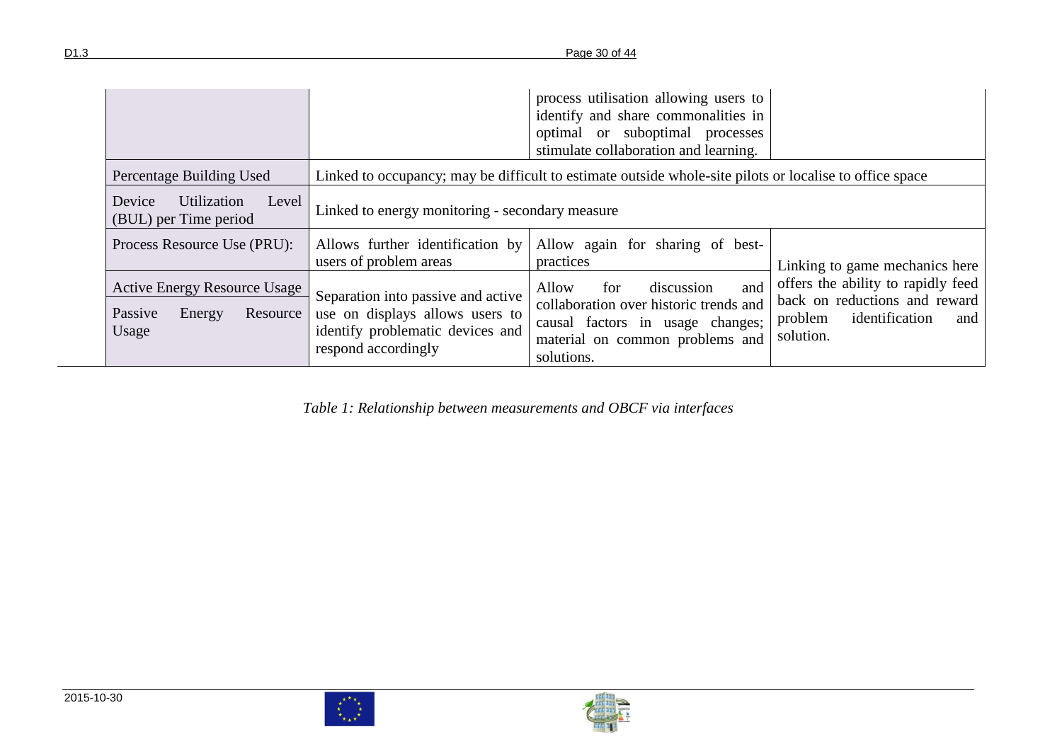|                                                                               |                                                                                                                                  | process utilisation allowing users to<br>identify and share commonalities in<br>optimal or suboptimal processes<br>stimulate collaboration and learning.         |                                                                                                                      |
|-------------------------------------------------------------------------------|----------------------------------------------------------------------------------------------------------------------------------|------------------------------------------------------------------------------------------------------------------------------------------------------------------|----------------------------------------------------------------------------------------------------------------------|
| Percentage Building Used                                                      |                                                                                                                                  | Linked to occupancy; may be difficult to estimate outside whole-site pilots or localise to office space                                                          |                                                                                                                      |
| Utilization<br>Device<br>Level<br>(BUL) per Time period                       | Linked to energy monitoring - secondary measure                                                                                  |                                                                                                                                                                  |                                                                                                                      |
| Process Resource Use (PRU):                                                   | Allows further identification by<br>users of problem areas                                                                       | Allow again for sharing of best-<br>practices                                                                                                                    | Linking to game mechanics here                                                                                       |
| <b>Active Energy Resource Usage</b><br>Passive<br>Energy<br>Resource<br>Usage | Separation into passive and active<br>use on displays allows users to<br>identify problematic devices and<br>respond accordingly | discussion<br>Allow<br>for<br>and<br>collaboration over historic trends and<br>causal factors in usage changes;<br>material on common problems and<br>solutions. | offers the ability to rapidly feed<br>back on reductions and reward<br>identification<br>problem<br>and<br>solution. |

*Table 1: Relationship between measurements and OBCF via interfaces*



<span id="page-29-0"></span> $\frac{\boldsymbol{x}^{\star}}{\boldsymbol{x}_1 \boldsymbol{\cdot} \boldsymbol{x}^{\star}}$ 

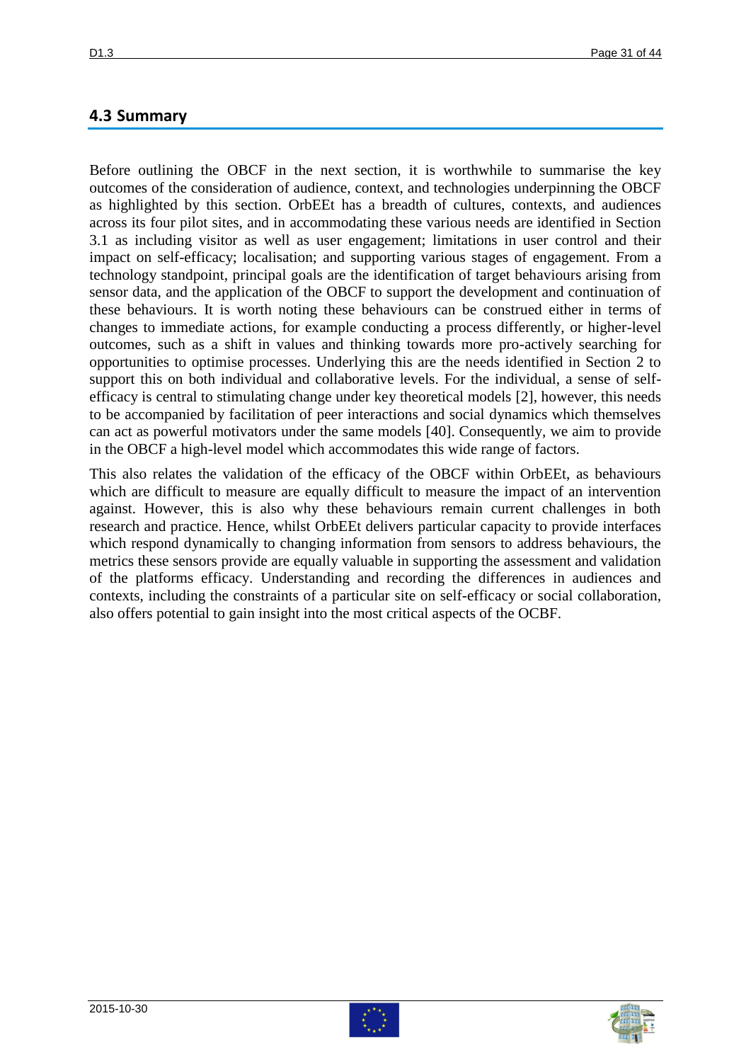### **4.3 Summary**

Before outlining the OBCF in the next section, it is worthwhile to summarise the key outcomes of the consideration of audience, context, and technologies underpinning the OBCF as highlighted by this section. OrbEEt has a breadth of cultures, contexts, and audiences across its four pilot sites, and in accommodating these various needs are identified in Section 3.1 as including visitor as well as user engagement; limitations in user control and their impact on self-efficacy; localisation; and supporting various stages of engagement. From a technology standpoint, principal goals are the identification of target behaviours arising from sensor data, and the application of the OBCF to support the development and continuation of these behaviours. It is worth noting these behaviours can be construed either in terms of changes to immediate actions, for example conducting a process differently, or higher-level outcomes, such as a shift in values and thinking towards more pro-actively searching for opportunities to optimise processes. Underlying this are the needs identified in Section 2 to support this on both individual and collaborative levels. For the individual, a sense of selfefficacy is central to stimulating change under key theoretical models [\[2\]](#page-41-1), however, this needs to be accompanied by facilitation of peer interactions and social dynamics which themselves can act as powerful motivators under the same models [\[40\]](#page-43-9). Consequently, we aim to provide in the OBCF a high-level model which accommodates this wide range of factors.

This also relates the validation of the efficacy of the OBCF within OrbEEt, as behaviours which are difficult to measure are equally difficult to measure the impact of an intervention against. However, this is also why these behaviours remain current challenges in both research and practice. Hence, whilst OrbEEt delivers particular capacity to provide interfaces which respond dynamically to changing information from sensors to address behaviours, the metrics these sensors provide are equally valuable in supporting the assessment and validation of the platforms efficacy. Understanding and recording the differences in audiences and contexts, including the constraints of a particular site on self-efficacy or social collaboration, also offers potential to gain insight into the most critical aspects of the OCBF.



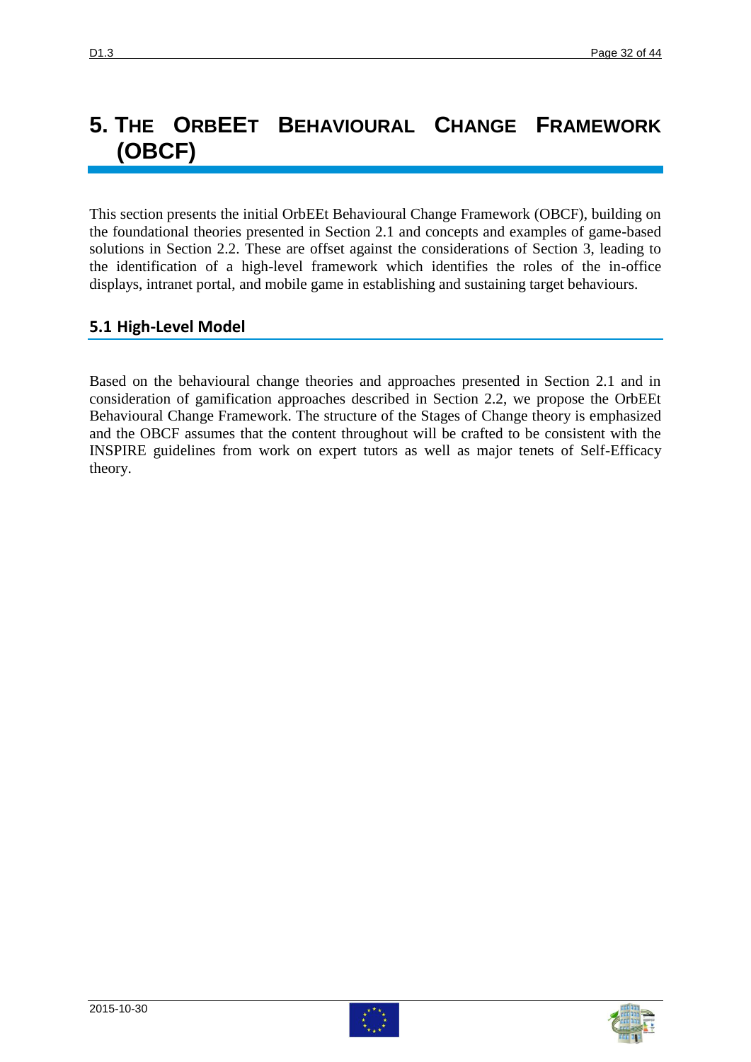# **5. THE ORBEET BEHAVIOURAL CHANGE FRAMEWORK (OBCF)**

This section presents the initial OrbEEt Behavioural Change Framework (OBCF), building on the foundational theories presented in Section 2.1 and concepts and examples of game-based solutions in Section 2.2. These are offset against the considerations of Section 3, leading to the identification of a high-level framework which identifies the roles of the in-office displays, intranet portal, and mobile game in establishing and sustaining target behaviours.

## **5.1 High-Level Model**

Based on the behavioural change theories and approaches presented in Section 2.1 and in consideration of gamification approaches described in Section 2.2, we propose the OrbEEt Behavioural Change Framework. The structure of the Stages of Change theory is emphasized and the OBCF assumes that the content throughout will be crafted to be consistent with the INSPIRE guidelines from work on expert tutors as well as major tenets of Self-Efficacy theory.



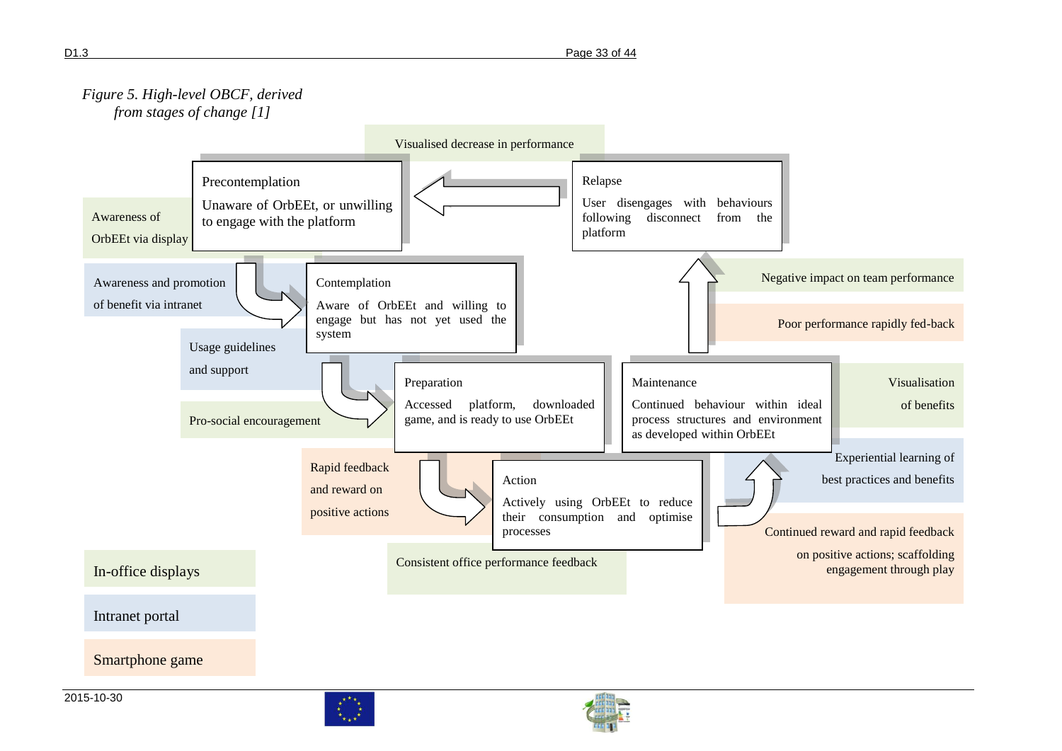





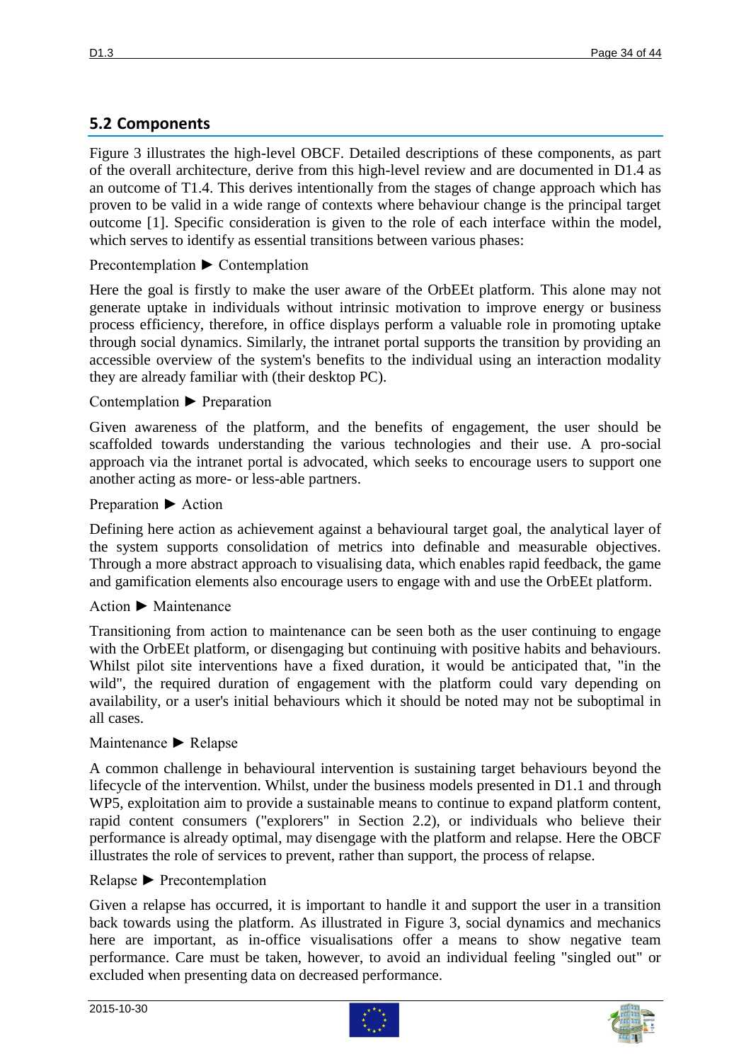## **5.2 Components**

Figure 3 illustrates the high-level OBCF. Detailed descriptions of these components, as part of the overall architecture, derive from this high-level review and are documented in D1.4 as an outcome of T1.4. This derives intentionally from the stages of change approach which has proven to be valid in a wide range of contexts where behaviour change is the principal target outcome [\[1\]](#page-41-0). Specific consideration is given to the role of each interface within the model, which serves to identify as essential transitions between various phases:

### Precontemplation ► Contemplation

Here the goal is firstly to make the user aware of the OrbEEt platform. This alone may not generate uptake in individuals without intrinsic motivation to improve energy or business process efficiency, therefore, in office displays perform a valuable role in promoting uptake through social dynamics. Similarly, the intranet portal supports the transition by providing an accessible overview of the system's benefits to the individual using an interaction modality they are already familiar with (their desktop PC).

### Contemplation ► Preparation

Given awareness of the platform, and the benefits of engagement, the user should be scaffolded towards understanding the various technologies and their use. A pro-social approach via the intranet portal is advocated, which seeks to encourage users to support one another acting as more- or less-able partners.

#### Preparation ► Action

Defining here action as achievement against a behavioural target goal, the analytical layer of the system supports consolidation of metrics into definable and measurable objectives. Through a more abstract approach to visualising data, which enables rapid feedback, the game and gamification elements also encourage users to engage with and use the OrbEEt platform.

### Action ► Maintenance

Transitioning from action to maintenance can be seen both as the user continuing to engage with the OrbEEt platform, or disengaging but continuing with positive habits and behaviours. Whilst pilot site interventions have a fixed duration, it would be anticipated that, "in the wild", the required duration of engagement with the platform could vary depending on availability, or a user's initial behaviours which it should be noted may not be suboptimal in all cases.

### Maintenance ► Relapse

A common challenge in behavioural intervention is sustaining target behaviours beyond the lifecycle of the intervention. Whilst, under the business models presented in D1.1 and through WP5, exploitation aim to provide a sustainable means to continue to expand platform content, rapid content consumers ("explorers" in Section 2.2), or individuals who believe their performance is already optimal, may disengage with the platform and relapse. Here the OBCF illustrates the role of services to prevent, rather than support, the process of relapse.

#### Relapse ► Precontemplation

Given a relapse has occurred, it is important to handle it and support the user in a transition back towards using the platform. As illustrated in Figure 3, social dynamics and mechanics here are important, as in-office visualisations offer a means to show negative team performance. Care must be taken, however, to avoid an individual feeling "singled out" or excluded when presenting data on decreased performance.



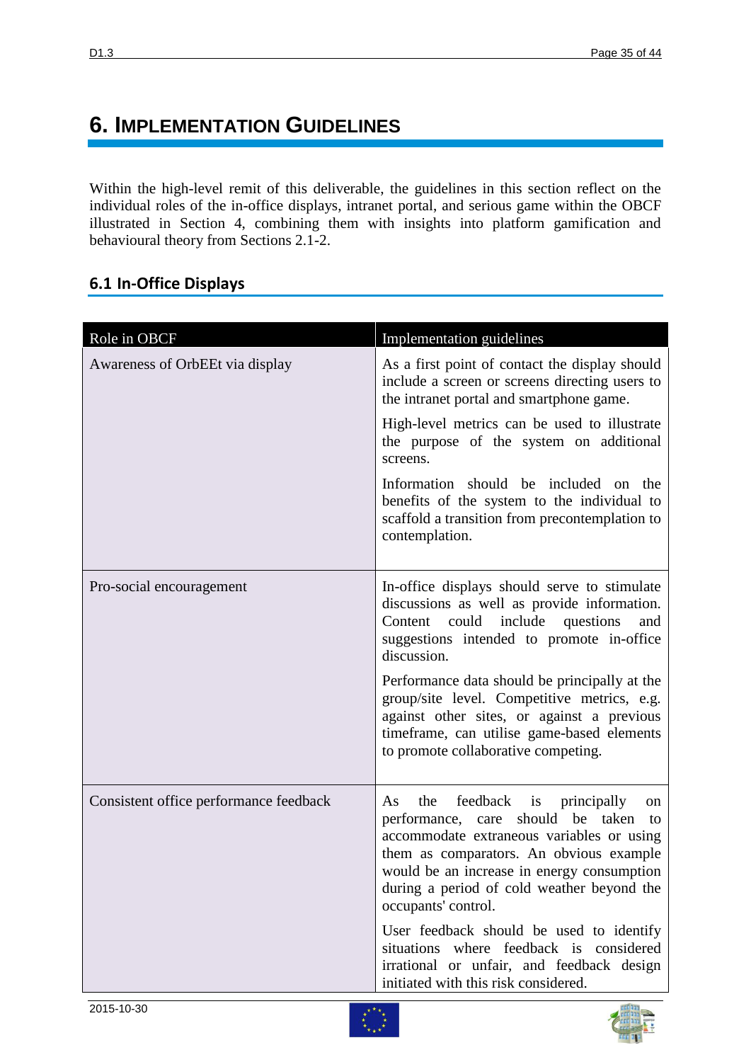## **6. IMPLEMENTATION GUIDELINES**

Within the high-level remit of this deliverable, the guidelines in this section reflect on the individual roles of the in-office displays, intranet portal, and serious game within the OBCF illustrated in Section 4, combining them with insights into platform gamification and behavioural theory from Sections 2.1-2.

### **6.1 In-Office Displays**

| Role in OBCF                           | Implementation guidelines                                                                                                                                                                                                                                                                              |
|----------------------------------------|--------------------------------------------------------------------------------------------------------------------------------------------------------------------------------------------------------------------------------------------------------------------------------------------------------|
| Awareness of OrbEEt via display        | As a first point of contact the display should<br>include a screen or screens directing users to<br>the intranet portal and smartphone game.                                                                                                                                                           |
|                                        | High-level metrics can be used to illustrate<br>the purpose of the system on additional<br>screens.                                                                                                                                                                                                    |
|                                        | Information should be included on the<br>benefits of the system to the individual to<br>scaffold a transition from precontemplation to<br>contemplation.                                                                                                                                               |
| Pro-social encouragement               | In-office displays should serve to stimulate<br>discussions as well as provide information.<br>could<br>include<br>questions<br>Content<br>and<br>suggestions intended to promote in-office<br>discussion.                                                                                             |
|                                        | Performance data should be principally at the<br>group/site level. Competitive metrics, e.g.<br>against other sites, or against a previous<br>timeframe, can utilise game-based elements<br>to promote collaborative competing.                                                                        |
| Consistent office performance feedback | feedback is principally<br>the<br>As<br>on<br>should<br>be taken<br>performance, care<br>to<br>accommodate extraneous variables or using<br>them as comparators. An obvious example<br>would be an increase in energy consumption<br>during a period of cold weather beyond the<br>occupants' control. |
|                                        | User feedback should be used to identify<br>situations where feedback is considered<br>irrational or unfair, and feedback design<br>initiated with this risk considered.                                                                                                                               |



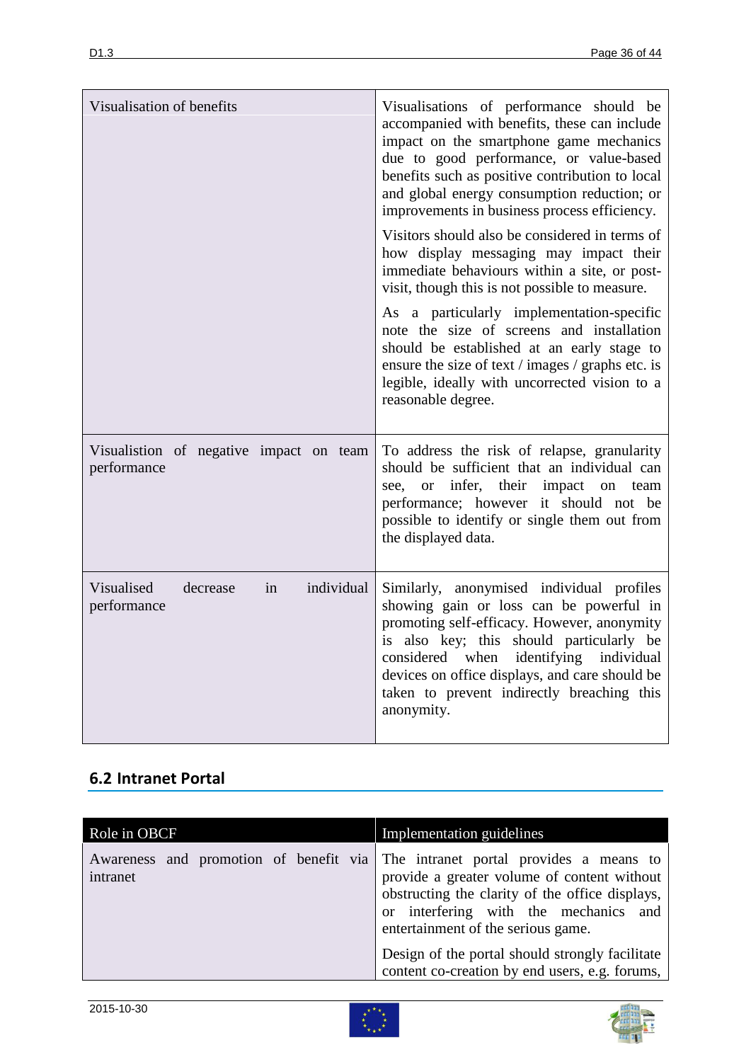| Visualisation of benefits                                 | Visualisations of performance should be<br>accompanied with benefits, these can include<br>impact on the smartphone game mechanics<br>due to good performance, or value-based<br>benefits such as positive contribution to local<br>and global energy consumption reduction; or<br>improvements in business process efficiency.         |
|-----------------------------------------------------------|-----------------------------------------------------------------------------------------------------------------------------------------------------------------------------------------------------------------------------------------------------------------------------------------------------------------------------------------|
|                                                           | Visitors should also be considered in terms of<br>how display messaging may impact their<br>immediate behaviours within a site, or post-<br>visit, though this is not possible to measure.                                                                                                                                              |
|                                                           | As a particularly implementation-specific<br>note the size of screens and installation<br>should be established at an early stage to<br>ensure the size of text / images / graphs etc. is<br>legible, ideally with uncorrected vision to a<br>reasonable degree.                                                                        |
| Visualistion of negative impact on team<br>performance    | To address the risk of relapse, granularity<br>should be sufficient that an individual can<br>see, or infer, their impact<br>on team<br>performance; however it should not be<br>possible to identify or single them out from<br>the displayed data.                                                                                    |
| Visualised<br>individual<br>decrease<br>in<br>performance | Similarly, anonymised individual profiles<br>showing gain or loss can be powerful in<br>promoting self-efficacy. However, anonymity<br>is also key; this should particularly be<br>considered when identifying individual<br>devices on office displays, and care should be<br>taken to prevent indirectly breaching this<br>anonymity. |

## **6.2 Intranet Portal**

| Role in OBCF | Implementation guidelines                                                                                                                                                                                                                                                                                                                                            |
|--------------|----------------------------------------------------------------------------------------------------------------------------------------------------------------------------------------------------------------------------------------------------------------------------------------------------------------------------------------------------------------------|
| intranet     | Awareness and promotion of benefit via The intranet portal provides a means to<br>provide a greater volume of content without<br>obstructing the clarity of the office displays,<br>or interfering with the mechanics and<br>entertainment of the serious game.<br>Design of the portal should strongly facilitate<br>content co-creation by end users, e.g. forums, |



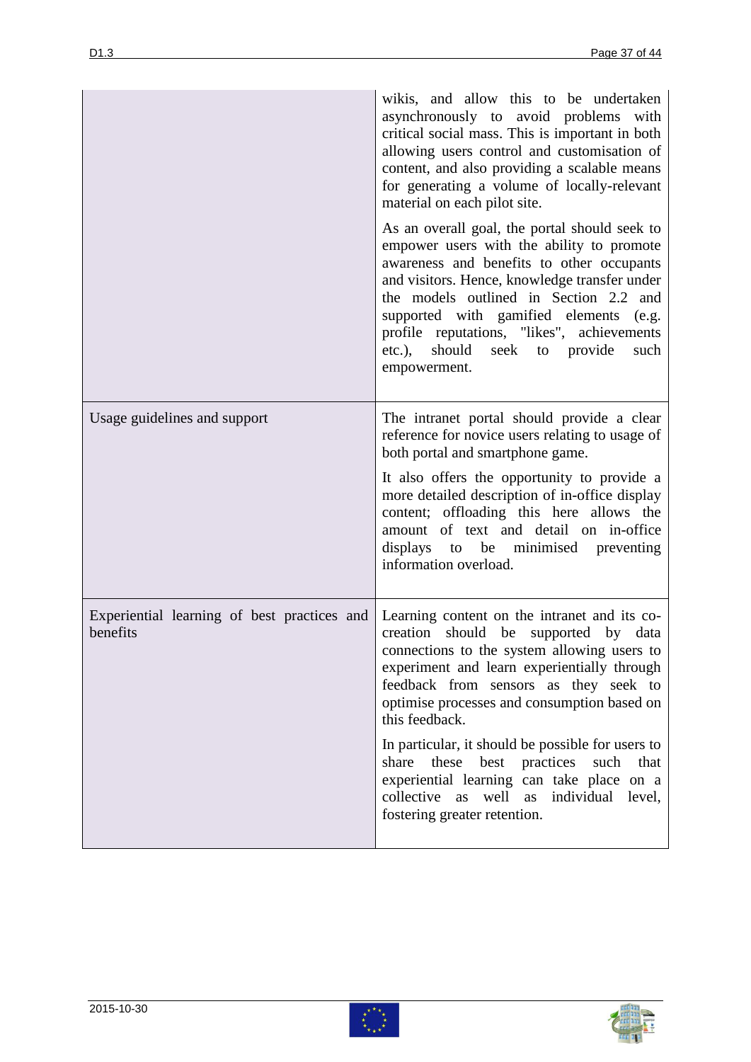|                                                         | wikis, and allow this to be undertaken<br>asynchronously to avoid problems with<br>critical social mass. This is important in both<br>allowing users control and customisation of<br>content, and also providing a scalable means<br>for generating a volume of locally-relevant<br>material on each pilot site.                                                                                                                                                                                                                       |
|---------------------------------------------------------|----------------------------------------------------------------------------------------------------------------------------------------------------------------------------------------------------------------------------------------------------------------------------------------------------------------------------------------------------------------------------------------------------------------------------------------------------------------------------------------------------------------------------------------|
|                                                         | As an overall goal, the portal should seek to<br>empower users with the ability to promote<br>awareness and benefits to other occupants<br>and visitors. Hence, knowledge transfer under<br>the models outlined in Section 2.2 and<br>supported with gamified elements (e.g.<br>profile reputations, "likes", achievements<br>etc.), should seek to provide<br>such<br>empowerment.                                                                                                                                                    |
| Usage guidelines and support                            | The intranet portal should provide a clear<br>reference for novice users relating to usage of<br>both portal and smartphone game.<br>It also offers the opportunity to provide a<br>more detailed description of in-office display<br>content; offloading this here allows the<br>amount of text and detail on in-office<br>displays to be minimised preventing<br>information overload.                                                                                                                                               |
| Experiential learning of best practices and<br>benefits | Learning content on the intranet and its co-<br>creation<br>should be<br>supported by data<br>connections to the system allowing users to<br>experiment and learn experientially through<br>feedback from sensors as they seek to<br>optimise processes and consumption based on<br>this feedback.<br>In particular, it should be possible for users to<br>these<br>best<br>practices<br>share<br>such<br>that<br>experiential learning can take place on a<br>collective as well as individual level,<br>fostering greater retention. |



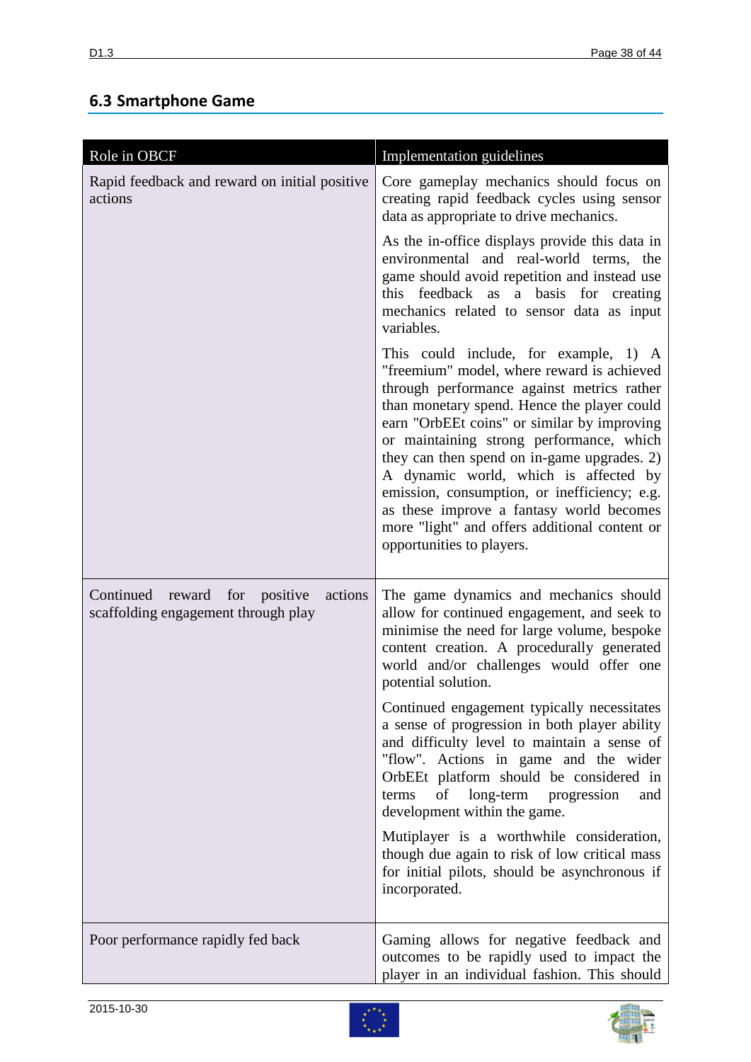## **6.3 Smartphone Game**

| Role in OBCF                                                                    | Implementation guidelines                                                                                                                                                                                                                                                                                                                                                                                                                                                                                                                     |
|---------------------------------------------------------------------------------|-----------------------------------------------------------------------------------------------------------------------------------------------------------------------------------------------------------------------------------------------------------------------------------------------------------------------------------------------------------------------------------------------------------------------------------------------------------------------------------------------------------------------------------------------|
| Rapid feedback and reward on initial positive<br>actions                        | Core gameplay mechanics should focus on<br>creating rapid feedback cycles using sensor<br>data as appropriate to drive mechanics.                                                                                                                                                                                                                                                                                                                                                                                                             |
|                                                                                 | As the in-office displays provide this data in<br>environmental and real-world terms, the<br>game should avoid repetition and instead use<br>this feedback as a basis for creating<br>mechanics related to sensor data as input<br>variables.                                                                                                                                                                                                                                                                                                 |
|                                                                                 | This could include, for example, 1) A<br>"freemium" model, where reward is achieved<br>through performance against metrics rather<br>than monetary spend. Hence the player could<br>earn "OrbEEt coins" or similar by improving<br>or maintaining strong performance, which<br>they can then spend on in-game upgrades. 2)<br>A dynamic world, which is affected by<br>emission, consumption, or inefficiency; e.g.<br>as these improve a fantasy world becomes<br>more "light" and offers additional content or<br>opportunities to players. |
| Continued reward for positive<br>actions<br>scaffolding engagement through play | The game dynamics and mechanics should<br>allow for continued engagement, and seek to<br>minimise the need for large volume, bespoke<br>content creation. A procedurally generated<br>world and/or challenges would offer one<br>potential solution.                                                                                                                                                                                                                                                                                          |
|                                                                                 | Continued engagement typically necessitates<br>a sense of progression in both player ability<br>and difficulty level to maintain a sense of<br>"flow". Actions in game and the wider<br>OrbEEt platform should be considered in<br>of<br>long-term progression<br>terms<br>and<br>development within the game.                                                                                                                                                                                                                                |
|                                                                                 | Mutiplayer is a worthwhile consideration,<br>though due again to risk of low critical mass<br>for initial pilots, should be asynchronous if<br>incorporated.                                                                                                                                                                                                                                                                                                                                                                                  |
| Poor performance rapidly fed back                                               | Gaming allows for negative feedback and<br>outcomes to be rapidly used to impact the<br>player in an individual fashion. This should                                                                                                                                                                                                                                                                                                                                                                                                          |



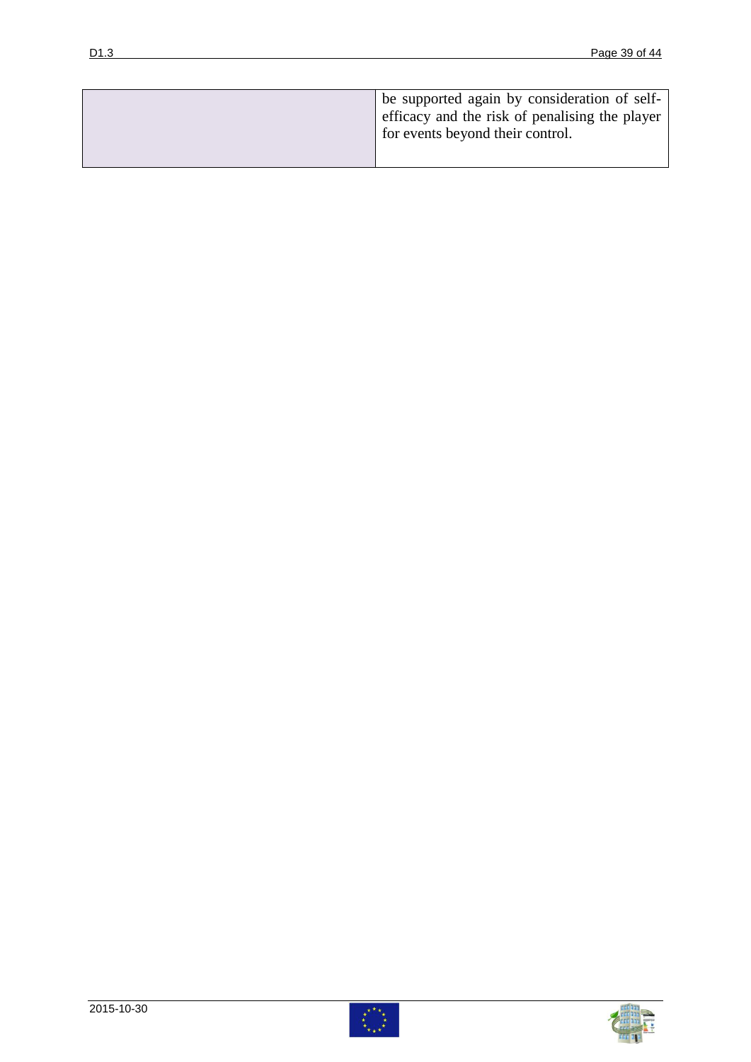| be supported again by consideration of self-   |
|------------------------------------------------|
| efficacy and the risk of penalising the player |
| for events beyond their control.               |
|                                                |



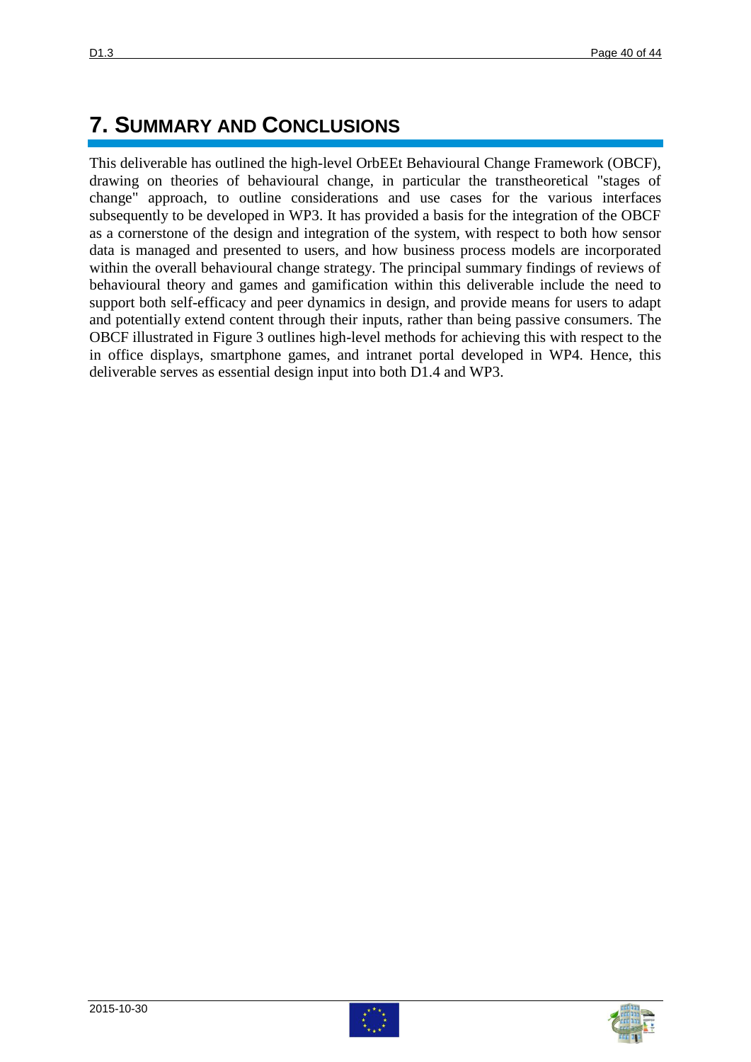## **7. SUMMARY AND CONCLUSIONS**

This deliverable has outlined the high-level OrbEEt Behavioural Change Framework (OBCF), drawing on theories of behavioural change, in particular the transtheoretical "stages of change" approach, to outline considerations and use cases for the various interfaces subsequently to be developed in WP3. It has provided a basis for the integration of the OBCF as a cornerstone of the design and integration of the system, with respect to both how sensor data is managed and presented to users, and how business process models are incorporated within the overall behavioural change strategy. The principal summary findings of reviews of behavioural theory and games and gamification within this deliverable include the need to support both self-efficacy and peer dynamics in design, and provide means for users to adapt and potentially extend content through their inputs, rather than being passive consumers. The OBCF illustrated in Figure 3 outlines high-level methods for achieving this with respect to the in office displays, smartphone games, and intranet portal developed in WP4. Hence, this deliverable serves as essential design input into both D1.4 and WP3.



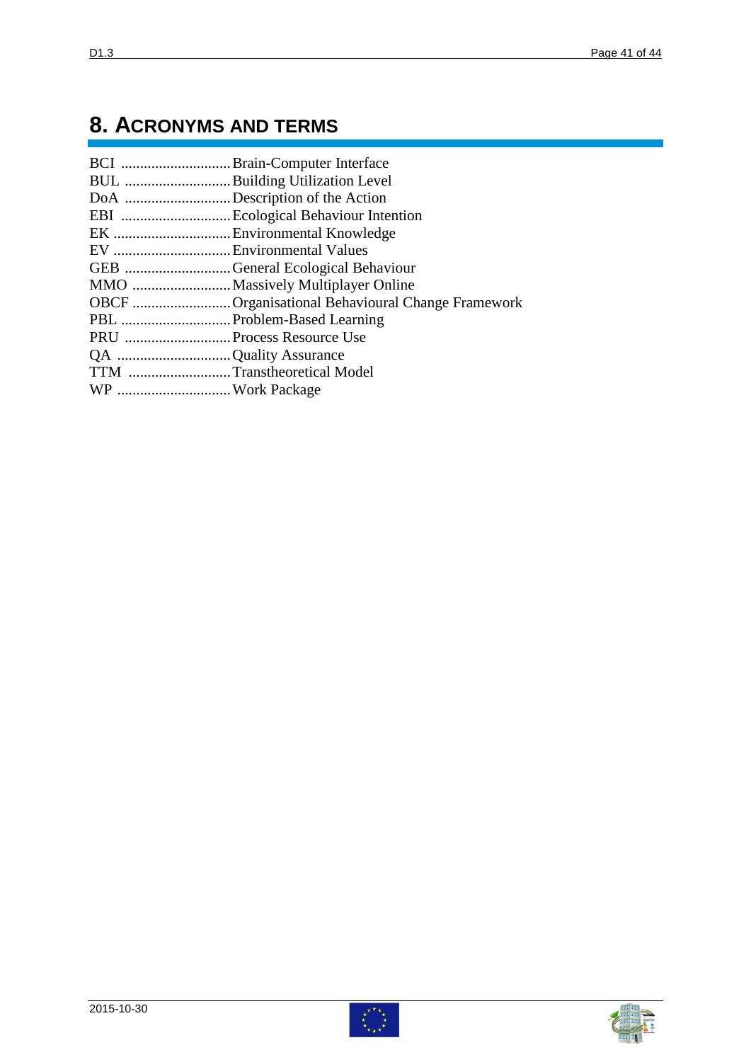## **8. ACRONYMS AND TERMS**

|                           | BCI Brain-Computer Interface                     |
|---------------------------|--------------------------------------------------|
|                           | BUL Building Utilization Level                   |
|                           | DoA Description of the Action                    |
|                           |                                                  |
|                           |                                                  |
|                           |                                                  |
|                           | GEB General Ecological Behaviour                 |
|                           |                                                  |
|                           | OBCF Organisational Behavioural Change Framework |
|                           |                                                  |
| PRU  Process Resource Use |                                                  |
| QA Quality Assurance      |                                                  |
|                           | TTM Transtheoretical Model                       |
|                           |                                                  |
|                           |                                                  |



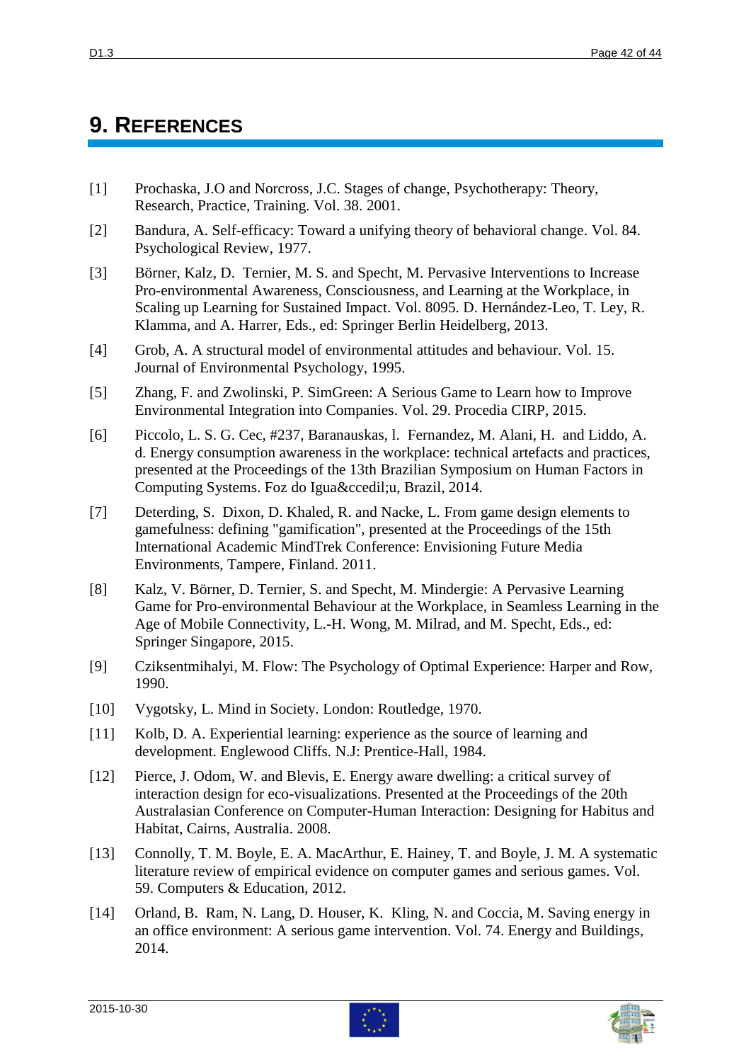## <span id="page-41-14"></span>**9. REFERENCES**

- <span id="page-41-0"></span>[1] Prochaska, J.O and Norcross, J.C. Stages of change, Psychotherapy: Theory, Research, Practice, Training. Vol. 38. 2001.
- <span id="page-41-1"></span>[2] Bandura, A. Self-efficacy: Toward a unifying theory of behavioral change. Vol. 84. Psychological Review, 1977.
- <span id="page-41-2"></span>[3] Börner, Kalz, D. Ternier, M. S. and Specht, M. Pervasive Interventions to Increase Pro-environmental Awareness, Consciousness, and Learning at the Workplace, in Scaling up Learning for Sustained Impact. Vol. 8095. D. Hernández-Leo, T. Ley, R. Klamma, and A. Harrer, Eds., ed: Springer Berlin Heidelberg, 2013.
- <span id="page-41-3"></span>[4] Grob, A. A structural model of environmental attitudes and behaviour. Vol. 15. Journal of Environmental Psychology, 1995.
- <span id="page-41-4"></span>[5] Zhang, F. and Zwolinski, P. SimGreen: A Serious Game to Learn how to Improve Environmental Integration into Companies. Vol. 29. Procedia CIRP, 2015.
- <span id="page-41-5"></span>[6] Piccolo, L. S. G. Cec, #237, Baranauskas, l. Fernandez, M. Alani, H. and Liddo, A. d. Energy consumption awareness in the workplace: technical artefacts and practices, presented at the Proceedings of the 13th Brazilian Symposium on Human Factors in Computing Systems. Foz do Iguaçu, Brazil, 2014.
- <span id="page-41-6"></span>[7] Deterding, S. Dixon, D. Khaled, R. and Nacke, L. From game design elements to gamefulness: defining "gamification", presented at the Proceedings of the 15th International Academic MindTrek Conference: Envisioning Future Media Environments, Tampere, Finland. 2011.
- <span id="page-41-7"></span>[8] Kalz, V. Börner, D. Ternier, S. and Specht, M. Mindergie: A Pervasive Learning Game for Pro-environmental Behaviour at the Workplace, in Seamless Learning in the Age of Mobile Connectivity, L.-H. Wong, M. Milrad, and M. Specht, Eds., ed: Springer Singapore, 2015.
- <span id="page-41-8"></span>[9] Cziksentmihalyi, M. Flow: The Psychology of Optimal Experience: Harper and Row, 1990.
- <span id="page-41-9"></span>[10] Vygotsky, L. Mind in Society. London: Routledge, 1970.
- <span id="page-41-10"></span>[11] Kolb, D. A. Experiential learning: experience as the source of learning and development. Englewood Cliffs. N.J: Prentice-Hall, 1984.
- <span id="page-41-11"></span>[12] Pierce, J. Odom, W. and Blevis, E. Energy aware dwelling: a critical survey of interaction design for eco-visualizations. Presented at the Proceedings of the 20th Australasian Conference on Computer-Human Interaction: Designing for Habitus and Habitat, Cairns, Australia. 2008.
- <span id="page-41-12"></span>[13] Connolly, T. M. Boyle, E. A. MacArthur, E. Hainey, T. and Boyle, J. M. A systematic literature review of empirical evidence on computer games and serious games. Vol. 59. Computers & Education, 2012.
- <span id="page-41-13"></span>[14] Orland, B. Ram, N. Lang, D. Houser, K. Kling, N. and Coccia, M. Saving energy in an office environment: A serious game intervention. Vol. 74. Energy and Buildings, 2014.



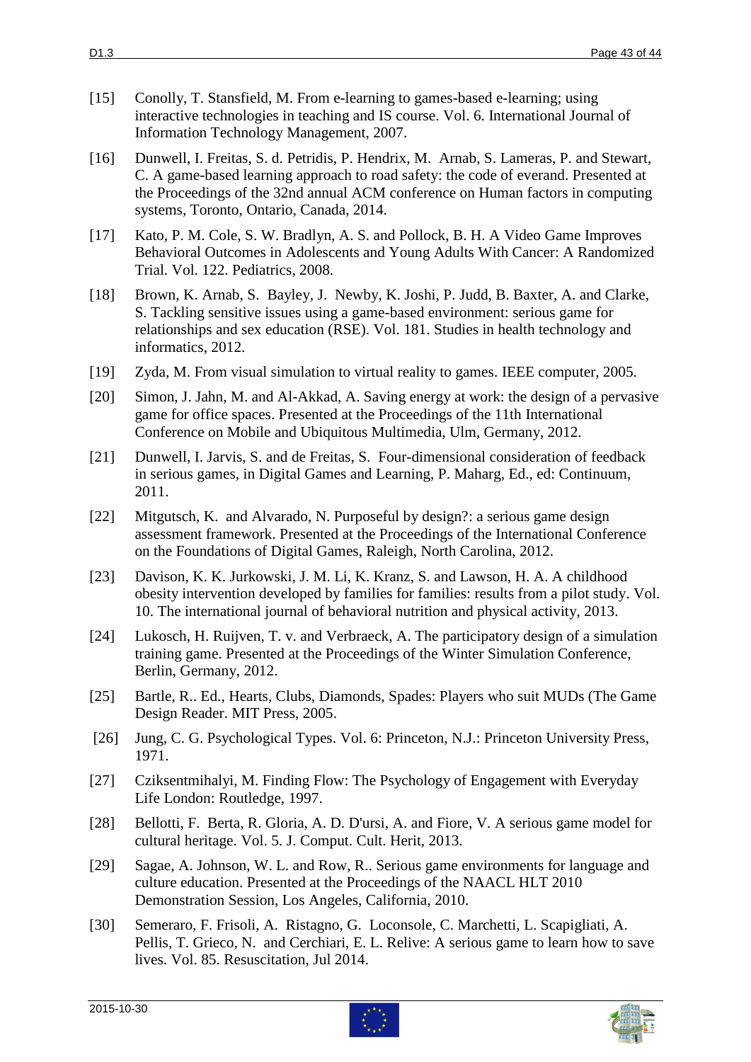- <span id="page-42-0"></span>[15] Conolly, T. Stansfield, M. From e-learning to games-based e-learning; using interactive technologies in teaching and IS course. Vol. 6. International Journal of Information Technology Management, 2007.
- <span id="page-42-1"></span>[16] Dunwell, I. Freitas, S. d. Petridis, P. Hendrix, M. Arnab, S. Lameras, P. and Stewart, C. A game-based learning approach to road safety: the code of everand. Presented at the Proceedings of the 32nd annual ACM conference on Human factors in computing systems, Toronto, Ontario, Canada, 2014.
- <span id="page-42-2"></span>[17] Kato, P. M. Cole, S. W. Bradlyn, A. S. and Pollock, B. H. A Video Game Improves Behavioral Outcomes in Adolescents and Young Adults With Cancer: A Randomized Trial. Vol. 122. Pediatrics, 2008.
- <span id="page-42-3"></span>[18] Brown, K. Arnab, S. Bayley, J. Newby, K. Joshi, P. Judd, B. Baxter, A. and Clarke, S. Tackling sensitive issues using a game-based environment: serious game for relationships and sex education (RSE). Vol. 181. Studies in health technology and informatics, 2012.
- <span id="page-42-4"></span>[19] Zyda, M. From visual simulation to virtual reality to games. IEEE computer, 2005.
- <span id="page-42-5"></span>[20] Simon, J. Jahn, M. and Al-Akkad, A. Saving energy at work: the design of a pervasive game for office spaces. Presented at the Proceedings of the 11th International Conference on Mobile and Ubiquitous Multimedia, Ulm, Germany, 2012.
- <span id="page-42-6"></span>[21] Dunwell, I. Jarvis, S. and de Freitas, S. Four-dimensional consideration of feedback in serious games, in Digital Games and Learning, P. Maharg, Ed., ed: Continuum, 2011.
- <span id="page-42-7"></span>[22] Mitgutsch, K. and Alvarado, N. Purposeful by design?: a serious game design assessment framework. Presented at the Proceedings of the International Conference on the Foundations of Digital Games, Raleigh, North Carolina, 2012.
- <span id="page-42-8"></span>[23] Davison, K. K. Jurkowski, J. M. Li, K. Kranz, S. and Lawson, H. A. A childhood obesity intervention developed by families for families: results from a pilot study. Vol. 10. The international journal of behavioral nutrition and physical activity, 2013.
- <span id="page-42-9"></span>[24] Lukosch, H. Ruijven, T. v. and Verbraeck, A. The participatory design of a simulation training game. Presented at the Proceedings of the Winter Simulation Conference, Berlin, Germany, 2012.
- <span id="page-42-10"></span>[25] Bartle, R.. Ed., Hearts, Clubs, Diamonds, Spades: Players who suit MUDs (The Game Design Reader. MIT Press, 2005.
- <span id="page-42-11"></span>[26] Jung, C. G. Psychological Types. Vol. 6: Princeton, N.J.: Princeton University Press, 1971.
- <span id="page-42-12"></span>[27] Cziksentmihalyi, M. Finding Flow: The Psychology of Engagement with Everyday Life London: Routledge, 1997.
- <span id="page-42-13"></span>[28] Bellotti, F. Berta, R. Gloria, A. D. D'ursi, A. and Fiore, V. A serious game model for cultural heritage. Vol. 5. J. Comput. Cult. Herit, 2013.
- [29] Sagae, A. Johnson, W. L. and Row, R.. Serious game environments for language and culture education. Presented at the Proceedings of the NAACL HLT 2010 Demonstration Session, Los Angeles, California, 2010.
- [30] Semeraro, F. Frisoli, A. Ristagno, G. Loconsole, C. Marchetti, L. Scapigliati, A. Pellis, T. Grieco, N. and Cerchiari, E. L. Relive: A serious game to learn how to save lives. Vol. 85. Resuscitation, Jul 2014.